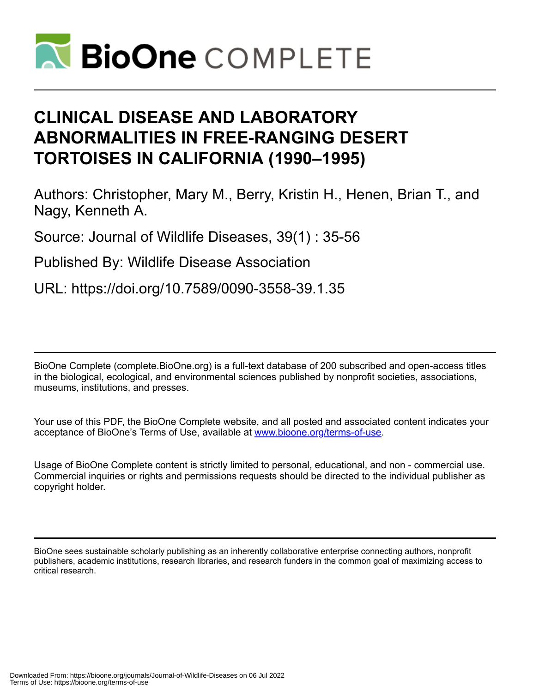

# **CLINICAL DISEASE AND LABORATORY ABNORMALITIES IN FREE-RANGING DESERT TORTOISES IN CALIFORNIA (1990–1995)**

Authors: Christopher, Mary M., Berry, Kristin H., Henen, Brian T., and Nagy, Kenneth A.

Source: Journal of Wildlife Diseases, 39(1) : 35-56

Published By: Wildlife Disease Association

URL: https://doi.org/10.7589/0090-3558-39.1.35

BioOne Complete (complete.BioOne.org) is a full-text database of 200 subscribed and open-access titles in the biological, ecological, and environmental sciences published by nonprofit societies, associations, museums, institutions, and presses.

Your use of this PDF, the BioOne Complete website, and all posted and associated content indicates your acceptance of BioOne's Terms of Use, available at www.bioone.org/terms-of-use.

Usage of BioOne Complete content is strictly limited to personal, educational, and non - commercial use. Commercial inquiries or rights and permissions requests should be directed to the individual publisher as copyright holder.

BioOne sees sustainable scholarly publishing as an inherently collaborative enterprise connecting authors, nonprofit publishers, academic institutions, research libraries, and research funders in the common goal of maximizing access to critical research.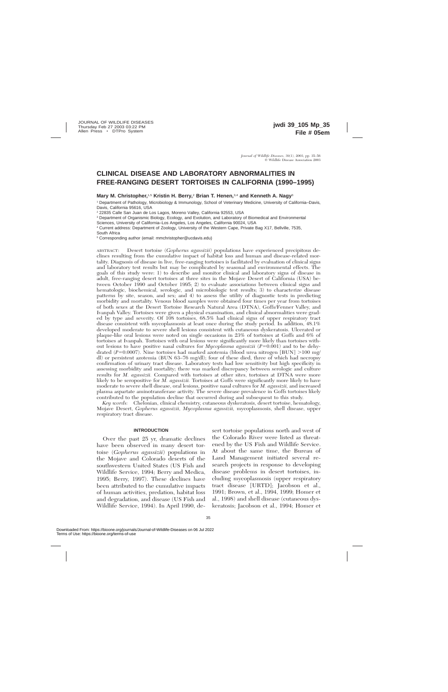# **CLINICAL DISEASE AND LABORATORY ABNORMALITIES IN FREE-RANGING DESERT TORTOISES IN CALIFORNIA (1990–1995)**

**Mary M. Christopher,**1,5 **Kristin H. Berry,**<sup>2</sup> **Brian T. Henen,**3,4 **and Kenneth A. Nagy**<sup>3</sup>

<sup>1</sup> Department of Pathology, Microbiology & Immunology, School of Veterinary Medicine, University of California–Davis, Davis, California 95616, USA

<sup>2</sup> 22835 Calle San Juan de Los Lagos, Moreno Valley, California 92553, USA

<sup>3</sup> Department of Organismic Biology, Ecology, and Evolution, and Laboratory of Biomedical and Environmental

Sciences, University of California–Los Angeles, Los Angeles, California 90024, USA

<sup>4</sup> Current address: Department of Zoology, University of the Western Cape, Private Bag X17, Bellville, 7535, South Africa

<sup>5</sup> Corresponding author (email: mmchristopher@ucdavis.edu)

ABSTRACT: Desert tortoise (*Gopherus agassizii*) populations have experienced precipitous declines resulting from the cumulative impact of habitat loss and human and disease-related mortality. Diagnosis of disease in live, free-ranging tortoises is facilitated by evaluation of clinical signs and laboratory test results but may be complicated by seasonal and environmental effects. The goals of this study were: 1) to describe and monitor clinical and laboratory signs of disease in adult, free-ranging desert tortoises at three sites in the Mojave Desert of California (USA) between October 1990 and October 1995; 2) to evaluate associations between clinical signs and hematologic, biochemical, serologic, and microbiologic test results; 3) to characterize disease patterns by site, season, and sex; and 4) to assess the utility of diagnostic tests in predicting morbidity and mortality. Venous blood samples were obtained four times per year from tortoises of both sexes at the Desert Tortoise Research Natural Area (DTNA), Goffs/Fenner Valley, and Ivanpah Valley. Tortoises were given a physical examination, and clinical abnormalities were graded by type and severity. Of 108 tortoises, 68.5% had clinical signs of upper respiratory tract disease consistent with mycoplasmosis at least once during the study period. In addition, 48.1% developed moderate to severe shell lesions consistent with cutaneous dyskeratosis. Ulcerated or plaque-like oral lesions were noted on single occasions in 23% of tortoises at Goffs and 6% of tortoises at Ivanpah. Tortoises with oral lesions were significantly more likely than tortoises without lesions to have positive nasal cultures for  $Mycoplasma \text{ a}gassizii$  ( $P=0.001$ ) and to be dehydrated ( $P=0.0007$ ). Nine tortoises had marked azotemia (blood urea nitrogen [BUN]  $>100$  mg/ dl) or persistent azotemia (BUN 63–76 mg/dl); four of these died, three of which had necropsy confirmation of urinary tract disease. Laboratory tests had low sensitivity but high specificity in assessing morbidity and mortality; there was marked discrepancy between serologic and culture results for *M. agassizii.* Compared with tortoises at other sites, tortoises at DTNA were more likely to be seropositive for *M. agassizii.* Tortoises at Goffs were significantly more likely to have moderate to severe shell disease, oral lesions, positive nasal cultures for *M. agassizii,* and increased plasma aspartate aminotransferase activity. The severe disease prevalence in Goffs tortoises likely contributed to the population decline that occurred during and subsequent to this study.

*Key words:* Chelonian, clinical chemistry, cutaneous dyskeratosis, desert tortoise, hematology, Mojave Desert, *Gopherus agassizii, Mycoplasma agassizii,* mycoplasmosis, shell disease, upper respiratory tract disease.

# **INTRODUCTION**

Over the past 25 yr, dramatic declines have been observed in many desert tortoise (*Gopherus agassizii*) populations in the Mojave and Colorado deserts of the southwestern United States (US Fish and Wildlife Service, 1994; Berry and Medica, 1995; Berry, 1997). These declines have been attributed to the cumulative impacts of human activities, predation, habitat loss and degradation, and disease (US Fish and Wildlife Service, 1994). In April 1990, desert tortoise populations north and west of the Colorado River were listed as threatened by the US Fish and Wildlife Service. At about the same time, the Bureau of Land Management initiated several research projects in response to developing disease problems in desert tortoises, including mycoplasmosis (upper respiratory tract disease [URTD]; Jacobson et al., 1991; Brown, et al., 1994, 1999; Homer et al., 1998) and shell disease (cutaneous dyskeratosis; Jacobson et al., 1994; Homer et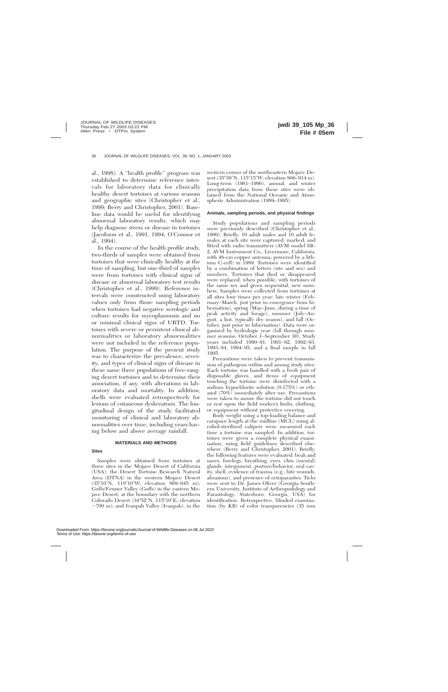al., 1998). A ''health profile'' program was established to determine reference intervals for laboratory data for clinically healthy desert tortoises at various seasons and geographic sites (Christopher et al., 1999; Berry and Christopher, 2001). Baseline data would be useful for identifying abnormal laboratory results, which may help diagnose stress or disease in tortoises (Jacobson et al., 1991, 1994; O'Connor et al., 1994).

In the course of the health profile study, two-thirds of samples were obtained from tortoises that were clinically healthy at the time of sampling, but one-third of samples were from tortoises with clinical signs of disease or abnormal laboratory test results (Christopher et al., 1999). Reference intervals were constructed using laboratory values only from those sampling periods when tortoises had negative serologic and culture results for mycoplasmosis and no or minimal clinical signs of URTD. Tortoises with severe or persistent clinical abnormalities or laboratory abnormalities were not included in the reference population. The purpose of the present study was to characterize the prevalence, severity, and types of clinical signs of disease in these same three populations of free-ranging desert tortoises and to determine their association, if any, with alterations in laboratory data and mortality. In addition, shells were evaluated retrospectively for lesions of cutaneous dyskeratosis. The longitudinal design of the study facilitated monitoring of clinical and laboratory abnormalities over time, including years having below and above average rainfall.

# **MATERIALS AND METHODS**

# **Sites**

Samples were obtained from tortoises at three sites in the Mojave Desert of California (USA): the Desert Tortoise Research Natural Area (DTNA) in the western Mojave Desert (35°10'N, 118°10'W; elevation 869-945 m); Goffs/Fenner Valley (Goffs) in the eastern Mojave Desert, at the boundary with the northern Colorado Desert  $(34^{\circ}52'N, 115^{\circ}10'E;$  elevation  $\sim$ 700 m); and Ivanpah Valley (Ivanpah), in the

western corner of the northeastern Mojave Desert (35°39'N, 115°15'W; elevation 866–914 m). Long-term (1961–1996), annual, and winter precipitation data from these sites were obtained from the National Oceanic and Atmospheric Administration (1989–1995).

## **Animals, sampling periods, and physical findings**

Study populations and sampling periods were previously described (Christopher et al., 1999). Briefly, 10 adult males and 10 adult females at each site were captured, marked, and fitted with radio transmitters (AVM model SB-2, AVM Instrument Co., Livermore, California, with 48-cm copper antenna, powered by a lithium C-cell) in 1989. Tortoises were identified by a combination of letters (site and sex) and numbers. Tortoises that died or disappeared were replaced, when possible, with tortoises of the same sex and given sequential, new numbers. Samples were collected from tortoises at all sites four times per year: late winter (February–March, just prior to emergence from hibernation), spring (May–June, during a time of peak activity and forage), summer (July–August, a hot, typically dry season), and fall (October, just prior to hibernation). Data were organized by hydrologic year (fall through summer seasons; October 1–September 30). Study years included 1990–91, 1991–92, 1992–93, 1993–94, 1994–95, and a final sample in fall 1995.

Precautions were taken to prevent transmission of pathogens within and among study sites. Each tortoise was handled with a fresh pair of disposable gloves, and items of equipment touching the tortoise were disinfected with a sodium hypochlorite solution (0.175%) or ethanol (70%) immediately after use. Precautions were taken to assure the tortoise did not touch or rest upon the field worker's limbs, clothing, or equipment without protective covering.

Body weight using a top-loading balance and carapace length at the midline (MCL) using alcohol-sterilized calipers were measured each time a tortoise was sampled. In addition, tortoises were given a complete physical examination, using field guidelines described elsewhere (Berry and Christopher, 2001). Briefly, the following features were evaluated: beak and nares, forelegs, breathing, eyes, chin (mental) glands, integument, posture/behavior, oral cavity, shell, evidence of trauma (e.g., bite wounds, abrasions), and presence of ectoparasites. Ticks were sent to Dr. James Oliver (Georgia Southern University, Institute of Arthropodology and Parasitology, Statesboro, Georgia, USA) for identification. Retrospective, blinded examination (by KB) of color transparencies (35 mm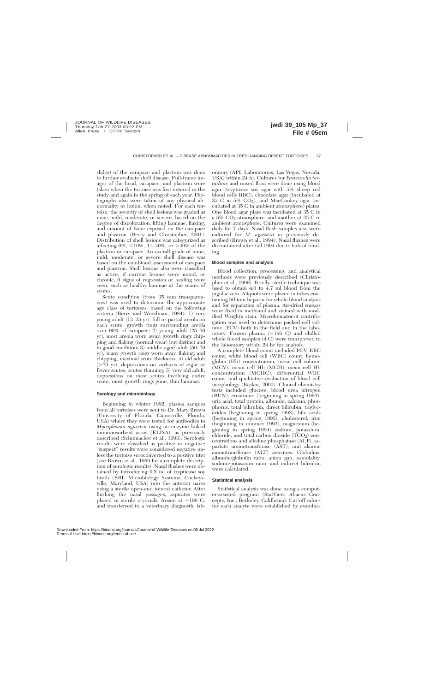slides) of the carapace and plastron was done to further evaluate shell disease. Full-frame images of the head, carapace, and plastron were taken when the tortoise was first entered in the study and again in the spring of each year. Photographs also were taken of any physical abnormality or lesion, when noted. For each tortoise, the severity of shell lesions was graded as none, mild, moderate, or severe, based on the degree of discoloration, lifting laminae, flaking, and amount of bone exposed on the carapace and plastron (Berry and Christopher, 2001). Distribution of shell lesions was categorized as affecting  $0\%$ ,  $\langle 10\%$ ,  $11-40\%$ , or  $>40\%$  of the plastron or carapace. An overall grade of none, mild, moderate, or severe shell disease was based on the combined assessment of carapace and plastron. Shell lesions also were classified as active, if current lesions were noted, or chronic, if signs of regression or healing were seen, such as healthy laminae at the seams of scutes.

Scute condition (from 35 mm transparencies) was used to determine the approximate age class of tortoises, based on the following criteria (Berry and Woodman, 1984): 1) very young adult (12–25 yr), full or partial areola on each scute, growth rings surrounding areola over 90% of carapace; 2) young adult (25–50 yr), most areola worn away, growth rings chipping and flaking (normal wear) but distinct and in good condition; 3) middle-aged adult (50–70 yr), many growth rings worn away, flaking, and chipping, maximal scute thickness; 4) old adult  $($ >70 yr), depressions on surfaces of eight or fewer scutes, scutes thinning; 5) very old adult, depressions on most scutes involving entire scute, most growth rings gone, thin laminae.

## **Serology and microbiology**

Beginning in winter 1992, plasma samples from all tortoises were sent to Dr. Mary Brown (University of Florida, Gainesville, Florida, USA) where they were tested for antibodies to *Mycoplasma agassizii* using an enzyme linked immunosorbent assay (ELISA), as previously described (Schumacher et al., 1993). Serologic results were classified as positive or negative; ''suspect'' results were considered negative unless the tortoise seroconverted to a positive titer (see Brown et al., 1999 for a complete description of serologic results). Nasal flushes were obtained by introducing 0.5 ml of trypticase soy broth (BBL Microbiology Systems, Cockeysville, Maryland, USA) into the anterior nares using a sterile open-end tomcat catheter. After flushing the nasal passages, aspirates were placed in sterile cryovials, frozen at  $-196$  C, and transferred to a veterinary diagnostic laboratory (APL Laboratories, Las Vegas, Nevada, USA) within 24 hr. Cultures for *Pasteurella testudinis* and mixed flora were done using blood agar (trypticase soy agar with 5% sheep red blood cells RBC), chocolate agar (incubated at 35 C in 5%  $CO<sub>2</sub>$ ), and MacConkey agar (incubated at 35 C in ambient atmosphere) plates. One blood agar plate was incubated at 35 C in a 5% CO2 atmosphere, and another at 25 C in ambient atmosphere. Cultures were examined daily for 7 days. Nasal flush samples also were cultured for *M. agassizii* as previously described (Brown et al., 1994). Nasal flushes were discontinued after fall 1994 due to lack of funding.

#### **Blood samples and analysis**

Blood collection, processing, and analytical methods were previously described (Christopher et al., 1999). Briefly, sterile technique was used to obtain 4.0 to 4.7 ml blood from the jugular vein. Aliquots were placed in tubes containing lithium heparin for whole blood analysis and for separation of plasma. Air-dried smears were fixed in methanol and stained with modified Wright's stain. Microhematocrit centrifugation was used to determine packed cell volume (PCV) both in the field and in the laboratory. Frozen plasma  $(-196 \text{ C})$  and chilled whole blood samples (4 C) were transported to the laboratory within 24 hr for analysis.

A complete blood count included PCV, RBC count, white blood cell (WBC) count, hemoglobin (Hb) concentration, mean cell volume (MCV), mean cell Hb (MCH), mean cell Hb concentration (MCHC), differential WBC count, and qualitative evaluation of blood cell morphology (Raskin, 2000). Clinical chemistry tests included glucose, blood urea nitrogen (BUN), creatinine (beginning in spring 1993), uric acid, total protein, albumin, calcium, phosphorus, total bilirubin, direct bilirubin, triglycerides (beginning in spring 1993), bile acids (beginning in spring 1993), cholesterol, iron (beginning in summer 1993), magnesium (beginning in spring 1994) sodium, potassium, chloride, and total carbon dioxide  $(TCO<sub>2</sub>)$  concentrations and alkaline phosphatase (ALP), aspartate aminotransferase (AST), and alanine aminotransferase (ALT) activities. Globulins, albumin/globulin ratio, anion gap, osmolality, sodium/potassium ratio, and indirect bilirubin were calculated.

#### **Statistical analysis**

Statistical analysis was done using a computer-assisted program (StatView, Abacus Concepts, Inc., Berkeley, California). Cut-off values for each analyte were established by examina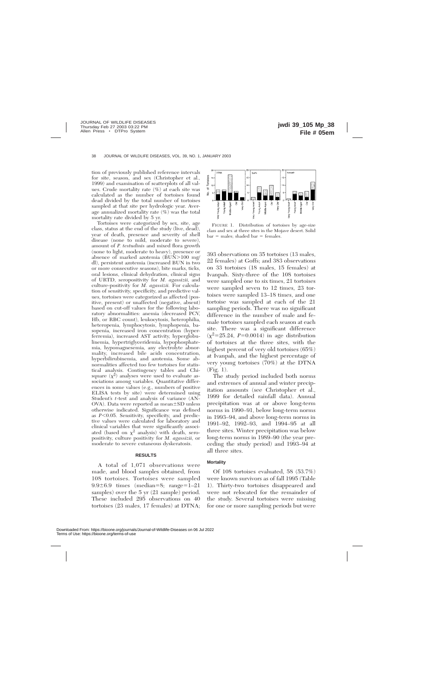tion of previously published reference intervals for site, season, and sex (Christopher et al., 1999) and examination of scatterplots of all values. Crude mortality rate (%) at each site was calculated as the number of tortoises found dead divided by the total number of tortoises sampled at that site per hydrologic year. Average annualized mortality rate (%) was the total mortality rate divided by 5 yr.

Tortoises were categorized by sex, site, age class, status at the end of the study (live, dead), year of death, presence and severity of shell disease (none to mild, moderate to severe), amount of *P. testudinis* and mixed flora growth (none to light, moderate to heavy), presence or absence of marked azotemia  $(BUN>100 \text{ mg}/100)$ dl), persistent azotemia (increased BUN in two or more consecutive seasons), bite marks, ticks, oral lesions, clinical dehydration, clinical signs of URTD, seropositivity for *M. agassizii,* and culture-positivity for *M. agassizii.* For calculation of sensitivity, specificity, and predictive values, tortoises were categorized as affected (positive, present) or unaffected (negative, absent) based on cut-off values for the following laboratory abnormalities: anemia (decreased PCV, Hb, or RBC count), leukocytosis, heterophilia, heteropenia, lymphocytosis, lymphopenia, basopenia, increased iron concentration (hyperferremia), increased AST activity, hyperglobulinemia, hypertriglyceridemia, hypophosphatemia, hypomagnesemia, any electrolyte abnormality, increased bile acids concentration, hyperbilirubinemia, and azotemia. Some abnormalities affected too few tortoises for statistical analysis. Contingency tables and Chisquare  $(\chi^2)$  analyses were used to evaluate associations among variables. Quantitative differences in some values (e.g., numbers of positive ELISA tests by site) were determined using Student's *t*-test and analysis of variance (AN- $OVA$ ). Data were reported as mean $\pm SD$  unless otherwise indicated. Significance was defined as  $P<0.05$ . Sensitivity, specificity, and predictive values were calculated for laboratory and clinical variables that were significantly associated (based on  $\chi^2$  analysis) with death, seropositivity, culture positivity for *M. agassizii,* or moderate to severe cutaneous dyskeratosis.

# **RESULTS**

A total of 1,071 observations were made, and blood samples obtained, from 108 tortoises. Tortoises were sampled  $9.9\pm6.9$  times (median=8; range=1–21 samples) over the 5 yr  $(21 \text{ sample})$  period. These included 295 observations on 40 tortoises (23 males, 17 females) at DTNA;



FIGURE 1. Distribution of tortoises by age-size class and sex at three sites in the Mojave desert. Solid  $bar =$  males; shaded bar  $=$  females.

393 observations on 35 tortoises (13 males, 22 females) at Goffs; and 383 observations on 33 tortoises (18 males, 15 females) at Ivanpah. Sixty-three of the 108 tortoises were sampled one to six times, 21 tortoises were sampled seven to 12 times, 23 tortoises were sampled 13–18 times, and one tortoise was sampled at each of the 21 sampling periods. There was no significant difference in the number of male and female tortoises sampled each season at each site. There was a significant difference  $(\chi^2 = 25.24, P = 0.0014)$  in age distribution of tortoises at the three sites, with the highest percent of very old tortoises (65%) at Ivanpah, and the highest percentage of very young tortoises (70%) at the DTNA (Fig. 1).

The study period included both norms and extremes of annual and winter precipitation amounts (see Christopher et al., 1999 for detailed rainfall data). Annual precipitation was at or above long-term norms in 1990–91, below long-term norms in 1993–94, and above long-term norms in 1991–92, 1992–93, and 1994–95 at all three sites. Winter precipitation was below long-term norms in 1989–90 (the year preceding the study period) and 1993–94 at all three sites.

#### **Mortality**

Of 108 tortoises evaluated, 58 (53.7%) were known survivors as of fall 1995 (Table 1). Thirty-two tortoises disappeared and were not relocated for the remainder of the study. Several tortoises were missing for one or more sampling periods but were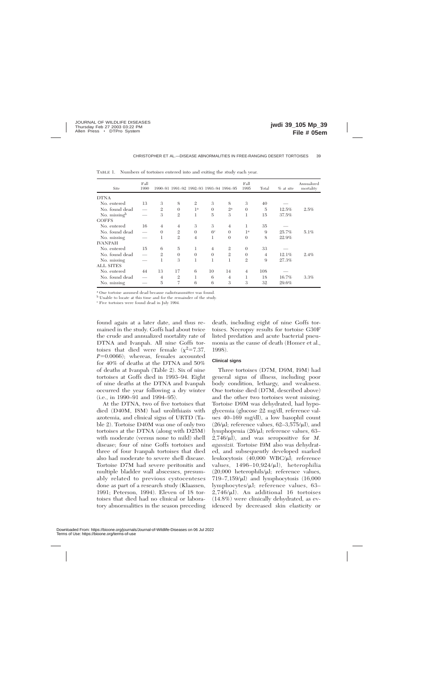| Site             | Fall<br>1990 |                |                | 1990-91 1991-92 1992-93 1993-94 1994-95 |                |                | Fall<br>1995   | Total          | $%$ at site | Annualized<br>mortality |
|------------------|--------------|----------------|----------------|-----------------------------------------|----------------|----------------|----------------|----------------|-------------|-------------------------|
| <b>DTNA</b>      |              |                |                |                                         |                |                |                |                |             |                         |
| No. entered      | 13           | 3              | 8              | $\mathfrak{2}$                          | 3              | 8              | 3              | 40             |             |                         |
| No. found dead   |              | $\mathfrak{2}$ | $\theta$       | 1 <sup>a</sup>                          | $\theta$       | $2^{\rm a}$    | $\theta$       | 5              | 12.5%       | 2.5%                    |
| No. missingb     |              | 3              | $\mathfrak{2}$ | 1                                       | 5              | 3              | 1              | 15             | 37.5%       |                         |
| <b>GOFFS</b>     |              |                |                |                                         |                |                |                |                |             |                         |
| No. entered      | 16           | $\overline{4}$ | $\overline{4}$ | 3                                       | 3              | $\overline{4}$ | 1              | 35             |             |                         |
| No. found dead   |              | $\Omega$       | $\mathfrak{2}$ | $\Omega$                                | 6 <sup>c</sup> | $\Omega$       | 1 <sup>a</sup> | 9              | 25.7%       | 5.1%                    |
| No. missing      |              | 1              | $\mathfrak{2}$ | $\overline{4}$                          | 1              | $\theta$       | $\Omega$       | 8              | 22.9%       |                         |
| <b>IVANPAH</b>   |              |                |                |                                         |                |                |                |                |             |                         |
| No. entered      | 15           | 6              | 5              | 1                                       | 4              | $\mathfrak{2}$ | $\theta$       | 33             |             |                         |
| No. found dead   |              | $\mathfrak{2}$ | $\Omega$       | $\theta$                                | $\theta$       | $\mathfrak{2}$ | $\theta$       | $\overline{4}$ | 12.1%       | 2.4%                    |
| No. missing      |              | 1              | 3              | 1                                       | 1              | $\mathbf{1}$   | $\overline{2}$ | 9              | 27.3%       |                         |
| <b>ALL SITES</b> |              |                |                |                                         |                |                |                |                |             |                         |
| No. entered      | 44           | 13             | 17             | 6                                       | 10             | 14             | $\overline{4}$ | 108            |             |                         |
| No. found dead   |              | $\overline{4}$ | $\mathfrak{2}$ | 1                                       | 6              | $\overline{4}$ | 1              | 18             | 16.7%       | 3.3%                    |
| No. missing      |              | 5              | 7              | 6                                       | 6              | 3              | 3              | 32             | 29.6%       |                         |

TABLE 1. Numbers of tortoises entered into and exiting the study each year.

<sup>a</sup> One tortoise assumed dead because radiotransmitter was found.

<sup>b</sup> Unable to locate at this time and for the remainder of the study.

<sup>c</sup> Five tortoises were found dead in July 1994.

found again at a later date, and thus remained in the study. Goffs had about twice the crude and annualized mortality rate of DTNA and Ivanpah. All nine Goffs tortoises that died were female  $(\chi^2=7.37,$  $P=0.0066$ ; whereas, females accounted for 40% of deaths at the DTNA and 50% of deaths at Ivanpah (Table 2). Six of nine tortoises at Goffs died in 1993–94. Eight of nine deaths at the DTNA and Ivanpah occurred the year following a dry winter (i.e., in 1990–91 and 1994–95).

At the DTNA, two of five tortoises that died (D40M, I8M) had urolithiasis with azotemia, and clinical signs of URTD (Table 2). Tortoise D40M was one of only two tortoises at the DTNA (along with D25M) with moderate (versus none to mild) shell disease; four of nine Goffs tortoises and three of four Ivanpah tortoises that died also had moderate to severe shell disease. Tortoise D7M had severe peritonitis and multiple bladder wall abscesses, presumably related to previous cystocenteses done as part of a research study (Klaassen, 1991; Peterson, 1994). Eleven of 18 tortoises that died had no clinical or laboratory abnormalities in the season preceding death, including eight of nine Goffs tortoises. Necropsy results for tortoise G30F listed predation and acute bacterial pneumonia as the cause of death (Homer et al., 1998).

# **Clinical signs**

Three tortoises (D7M, D9M, I9M) had general signs of illness, including poor body condition, lethargy, and weakness. One tortoise died (D7M, described above) and the other two tortoises went missing. Tortoise D9M was dehydrated, had hypoglycemia (glucose 22 mg/dl, reference values 40–169 mg/dl), a low basophil count  $(26/\mu l;$  reference values,  $62-3,575/\mu l$ ), and lymphopenia (26/µl; reference values, 63–  $2,746/\mu$ , and was seropositive for *M*. *agassizii.* Tortoise I9M also was dehydrated, and subsequently developed marked leukocytosis (40,000 WBC/µl; reference values,  $1496-10,924/\mu l$ ), heterophilia  $(20,000 \text{ heterophils/}\mu l;$  reference values, 719–7,159/ml) and lymphocytosis (16,000 lymphocytes/ $\mu$ l; reference values, 63–  $2,746/\mu$ ]). An additional 16 tortoises (14.8%) were clinically dehydrated, as evidenced by decreased skin elasticity or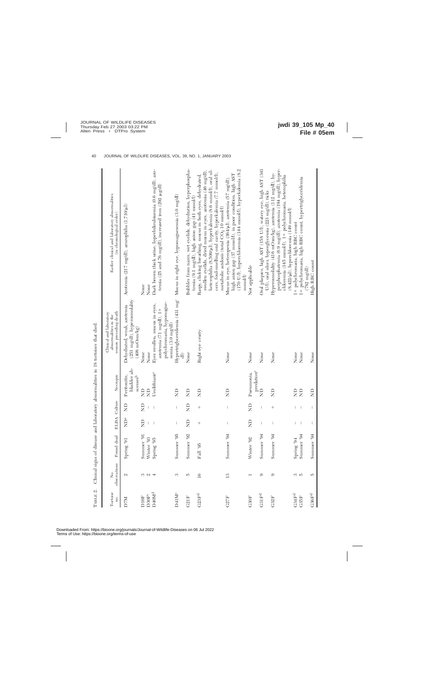|                           |                     | Allen Supports or Strawn and |                                                                                                                                                                                                                                                                                                                                                                                  |                                                                                                                                                                                                                                                                                                                                                                                  |                                                        | where the control in the community of the community of the community of the community of the community of the community of the community of the community of the community of the community of the community of the community |                                                                                                                                                                                                                                                                                                       |
|---------------------------|---------------------|------------------------------|----------------------------------------------------------------------------------------------------------------------------------------------------------------------------------------------------------------------------------------------------------------------------------------------------------------------------------------------------------------------------------|----------------------------------------------------------------------------------------------------------------------------------------------------------------------------------------------------------------------------------------------------------------------------------------------------------------------------------------------------------------------------------|--------------------------------------------------------|-------------------------------------------------------------------------------------------------------------------------------------------------------------------------------------------------------------------------------|-------------------------------------------------------------------------------------------------------------------------------------------------------------------------------------------------------------------------------------------------------------------------------------------------------|
| Tortoise<br>no.           | observations<br>Σó, | Found dead                   |                                                                                                                                                                                                                                                                                                                                                                                  | ELISA Culture                                                                                                                                                                                                                                                                                                                                                                    | Necropsy                                               | season preceding death<br>Clinical and laboratory<br>abnormalities in the                                                                                                                                                     | Earlier clinical and laboratory abnormalities<br>(in chronological order)                                                                                                                                                                                                                             |
| D7M                       | Z                   | Spring '91                   | $\sum^a$                                                                                                                                                                                                                                                                                                                                                                         | $\Xi$                                                                                                                                                                                                                                                                                                                                                                            | bladder ab-<br>Peritonitis,<br>$s$ cesses <sup>b</sup> | (251 mg/dl), hyperosmolality<br>Dehydrated, weak, azotemia<br>$(408 \text{ mOsm/kg})$                                                                                                                                         | Azotemia (217 mg/dl), azurophilia (1,710/µl)                                                                                                                                                                                                                                                          |
| D30F <sup>c</sup><br>D16F | S                   | Summer '91<br>Winter '93     | $\Xi$                                                                                                                                                                                                                                                                                                                                                                            | $\Xi$                                                                                                                                                                                                                                                                                                                                                                            | $\Xi$<br>$\Xi$                                         | None<br>None                                                                                                                                                                                                                  | None<br>None                                                                                                                                                                                                                                                                                          |
| D40M <sup>d</sup>         | $\omega$ 4          | Spring '95                   | $\overline{\phantom{a}}$                                                                                                                                                                                                                                                                                                                                                         |                                                                                                                                                                                                                                                                                                                                                                                  | Urolithiasise                                          | polychromasia, hypomagne-<br>Eyes swollen, mucus in eyes,<br>azotemia (71 ng/dl), 1+<br>semia (3.0 mg/dl)                                                                                                                     | Dark brown thick urine, hyperbilirubinemia (0.6 mg/dl), azo-<br>temia (25 and 76 mg/dl), increased iron (292 µg/dl)                                                                                                                                                                                   |
| D41M <sup>c</sup>         | S                   | Summer '95                   | $\begin{array}{c} \end{array}$                                                                                                                                                                                                                                                                                                                                                   |                                                                                                                                                                                                                                                                                                                                                                                  | $\Xi$                                                  | Hypertriglyceridemia (431 mg/<br>$\widehat{a}$                                                                                                                                                                                | Mucus in right eye, hypomagnesemia (3.0 mg/dl)                                                                                                                                                                                                                                                        |
| C21F                      | 5                   | Summer '92                   | $\Xi$                                                                                                                                                                                                                                                                                                                                                                            | $\Xi$                                                                                                                                                                                                                                                                                                                                                                            | $\Xi$                                                  | None                                                                                                                                                                                                                          | Bubbles from nares, wet eyelids, dehydration, hyperphospha-<br>temia (9.1 mg/dl), high anion gap (41 mmol/l)                                                                                                                                                                                          |
| C23F <sup>d</sup>         | $\overline{16}$     | Fall '95                     | $^{+}$                                                                                                                                                                                                                                                                                                                                                                           | $^{+}$                                                                                                                                                                                                                                                                                                                                                                           | $\Xi$                                                  | Right eye crusty                                                                                                                                                                                                              | heterophilia (8,500/µl), hyperkalemia (8.6 mmol/l), oral ul-<br>swollen eyelids, dried mucus in eyes, azotemia (46 mg/dl),<br>cers, foul-smelling oral cavity, hyperkalemia (7.7 mmol/l),<br>Raspy, clicking breathing, mucus in both eyes, dehydrated,<br>metabolic acidosis (total $CO2$ 10 mmol/l) |
| <b>G27F</b>               | $\mathbf{C}$        | Summer '94                   | $\overline{\phantom{a}}$                                                                                                                                                                                                                                                                                                                                                         | $\mid$                                                                                                                                                                                                                                                                                                                                                                           | $\Xi$                                                  | None                                                                                                                                                                                                                          | (170 U/l), hyperchloremia (144 mmol/l), hyperkalemia (8.2<br>high anion gap (37 mmol/l), in poor condition, high AST<br>Mucus in eye, heteropenia (364/µl), azotemia (57 mg/dl),<br>$\operatorname{mmo}(\Lambda)$                                                                                     |
| G30F                      |                     | Winter '92                   | $\Xi$                                                                                                                                                                                                                                                                                                                                                                            | $\Xi$                                                                                                                                                                                                                                                                                                                                                                            | predatione<br>Pneumonia,                               | None                                                                                                                                                                                                                          | Not applicable                                                                                                                                                                                                                                                                                        |
| G31F <sup>d</sup>         | ာ                   | Summer '94                   | $\begin{array}{c} \end{array}$                                                                                                                                                                                                                                                                                                                                                   | I                                                                                                                                                                                                                                                                                                                                                                                | $\Xi$                                                  | None                                                                                                                                                                                                                          | Oral plaques, high AST (158 U/l), watery eye, high AST (341<br>U/l), oral ulcer, hyperglycemia (223 mg/dl), ticks                                                                                                                                                                                     |
| G32F                      | 0                   | Summer '94                   | $\mid$                                                                                                                                                                                                                                                                                                                                                                           | $^{+}$                                                                                                                                                                                                                                                                                                                                                                           | $\Xi$                                                  | None                                                                                                                                                                                                                          | perphosphatemia (6.9 mg/dl), azotemia (194 mg/dl), hyper-<br>Hyperosmolality (416 mOsm/kg), azotemia (112 mg/dl), hy-<br>chloremia (145 mmol/l), 1+ polychromasia, heterophilia<br>$(8,422/\mu l)$ , hyperchloremia $(149 \text{ mmol/l})$                                                            |
| G34F <sup>d</sup>         | ကေဘ                 | 5pring'94                    | $\vert$                                                                                                                                                                                                                                                                                                                                                                          | L                                                                                                                                                                                                                                                                                                                                                                                | $\Xi$                                                  | None                                                                                                                                                                                                                          | 1+ polychromasia, high RBC count                                                                                                                                                                                                                                                                      |
| C35F                      |                     | Summer '94                   | $\begin{array}{c} \end{array}$                                                                                                                                                                                                                                                                                                                                                   |                                                                                                                                                                                                                                                                                                                                                                                  | $\Xi$                                                  | None                                                                                                                                                                                                                          | 1+ polychromasia, high RBC count, hypertriglyceridemia<br>782 mg/dl)                                                                                                                                                                                                                                  |
| ${\rm G36F^d}$            | J,                  | Summer '94                   | $\begin{array}{c} \rule{0pt}{2.5ex} \rule{0pt}{2.5ex} \rule{0pt}{2.5ex} \rule{0pt}{2.5ex} \rule{0pt}{2.5ex} \rule{0pt}{2.5ex} \rule{0pt}{2.5ex} \rule{0pt}{2.5ex} \rule{0pt}{2.5ex} \rule{0pt}{2.5ex} \rule{0pt}{2.5ex} \rule{0pt}{2.5ex} \rule{0pt}{2.5ex} \rule{0pt}{2.5ex} \rule{0pt}{2.5ex} \rule{0pt}{2.5ex} \rule{0pt}{2.5ex} \rule{0pt}{2.5ex} \rule{0pt}{2.5ex} \rule{0$ | $\begin{array}{c} \rule{0pt}{2.5ex} \rule{0pt}{2.5ex} \rule{0pt}{2.5ex} \rule{0pt}{2.5ex} \rule{0pt}{2.5ex} \rule{0pt}{2.5ex} \rule{0pt}{2.5ex} \rule{0pt}{2.5ex} \rule{0pt}{2.5ex} \rule{0pt}{2.5ex} \rule{0pt}{2.5ex} \rule{0pt}{2.5ex} \rule{0pt}{2.5ex} \rule{0pt}{2.5ex} \rule{0pt}{2.5ex} \rule{0pt}{2.5ex} \rule{0pt}{2.5ex} \rule{0pt}{2.5ex} \rule{0pt}{2.5ex} \rule{0$ | $\Xi$                                                  | None                                                                                                                                                                                                                          | High RBC count                                                                                                                                                                                                                                                                                        |
|                           |                     |                              |                                                                                                                                                                                                                                                                                                                                                                                  |                                                                                                                                                                                                                                                                                                                                                                                  |                                                        |                                                                                                                                                                                                                               |                                                                                                                                                                                                                                                                                                       |

TABLE 2. Clinical signs of disease and laboratory abnormalities in 18 tortoises that died. TABLE 2. Clinical signs of disease and laboratory abnormalities in 18 tortoises that died.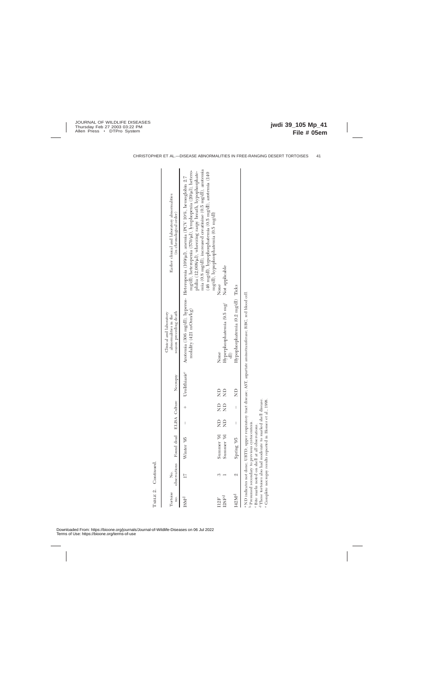| Tortoise<br>no.   | Ż. | observations Found dead ELISA Culture                                                                                                                                                                                                                            |   |               | Necropsy      | season preceding death<br>Clinical and laboratory<br>abnormalities in the                                             | Earlier clinical and laboratory abnormalities<br>(in chronological order)                                                                                                                                                                                                                                                                                                         |
|-------------------|----|------------------------------------------------------------------------------------------------------------------------------------------------------------------------------------------------------------------------------------------------------------------|---|---------------|---------------|-----------------------------------------------------------------------------------------------------------------------|-----------------------------------------------------------------------------------------------------------------------------------------------------------------------------------------------------------------------------------------------------------------------------------------------------------------------------------------------------------------------------------|
| <b>ISMd</b>       |    | Winter '95                                                                                                                                                                                                                                                       |   |               | Urolithiasise | molality (421 mOsm/kg)                                                                                                | mia (0.8 mg/dl), increased creatinine (0.5 mg/dl), azotemia<br>mg/dl), heteropenia (570/µl), lymphopenia (20/µl), hetero-<br>philia (12,008/µl), wheezing raspy breath, hypophosphate-<br>(46 mg/dl), hypophosphatemia (0.5 mg/dl), azotemia (140<br>Azotemia (306 mg/dl), hyperos- Heteropenia (109/µl), anemia (PCV 10%, hemoglobin 2.7<br>mg/dl), hypophosphatemia (0.5 mg/dl) |
| 112F              |    | Summer '91                                                                                                                                                                                                                                                       | g | $\frac{1}{2}$ | $\Xi$         | None                                                                                                                  | None                                                                                                                                                                                                                                                                                                                                                                              |
| 128F <sup>d</sup> |    | Summer '91                                                                                                                                                                                                                                                       | g | $\frac{1}{2}$ | g             | Hyperphosphatemia (9.5 mg/<br>$\oplus$                                                                                | Not applicable                                                                                                                                                                                                                                                                                                                                                                    |
| 142Md             | Z. | Spring '95                                                                                                                                                                                                                                                       |   |               | $\frac{1}{2}$ | Hypophosphatemia (0.2 mg/dl) Ticks                                                                                    |                                                                                                                                                                                                                                                                                                                                                                                   |
|                   |    | <sup>d</sup> These tortoises also had moderate to marked shell disease.<br><sup>b</sup> Presumed secondary to previous cystocentesis.<br><sup>e</sup> Complete necropsy results reported in Homer<br><sup>c</sup> Bite marks noted on shell at all observations. |   | et al., 1998  |               | a ND indicates not done; URTD, upper respiratory tract disease; AST, aspartate aminotransferase; RBC, red blood cell. |                                                                                                                                                                                                                                                                                                                                                                                   |

TABLE 2. Continued. TABLE 2. Continued.

Downloaded From: https://bioone.org/journals/Journal-of-Wildlife-Diseases on 06 Jul 2022 Terms of Use: https://bioone.org/terms-of-use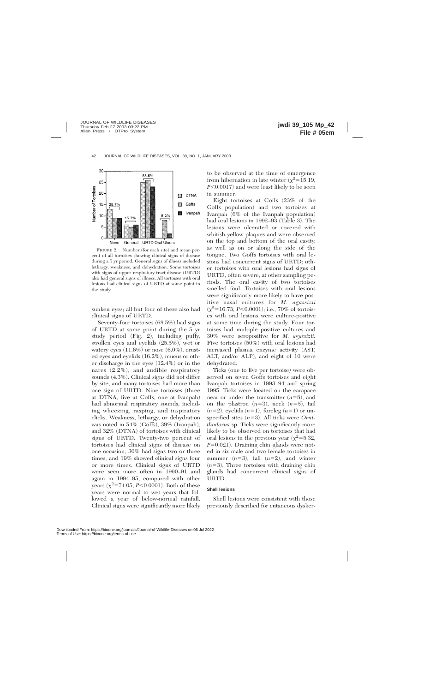

FIGURE 2. Number (for each site) and mean percent of all tortoises showing clinical signs of disease during a 5 yr period. General signs of illness included lethargy, weakness, and dehydration. Some tortoises with signs of upper respiratory tract disease (URTD) also had general signs of illness. All tortoises with oral lesions had clinical signs of URTD at some point in the study.

sunken eyes; all but four of these also had clinical signs of URTD.

Seventy-four tortoises (68.5%) had signs of URTD at some point during the 5 yr study period (Fig. 2), including puffy, swollen eyes and eyelids (25.5%), wet or watery eyes  $(11.6\%)$  or nose  $(6.0\%)$ , crusted eyes and eyelids (16.2%), mucus or other discharge in the eyes (12.4%) or in the nares (2.2%), and audible respiratory sounds (4.3%). Clinical signs did not differ by site, and many tortoises had more than one sign of URTD. Nine tortoises (three at DTNA, five at Goffs, one at Ivanpah) had abnormal respiratory sounds, including wheezing, rasping, and inspiratory clicks. Weakness, lethargy, or dehydration was noted in 54% (Goffs), 39% (Ivanpah), and 32% (DTNA) of tortoises with clinical signs of URTD. Twenty-two percent of tortoises had clinical signs of disease on one occasion, 30% had signs two or three times, and 19% showed clinical signs four or more times. Clinical signs of URTD were seen more often in 1990–91 and again in 1994–95, compared with other vears  $(\chi^2=74.05, P<0.0001)$ . Both of these years were normal to wet years that followed a year of below-normal rainfall. Clinical signs were significantly more likely to be observed at the time of emergence from hibernation in late winter  $(\chi^2=15.19,$ *P*<0.0017) and were least likely to be seen in summer.

Eight tortoises at Goffs (23% of the Goffs population) and two tortoises at Ivanpah (6% of the Ivanpah population) had oral lesions in 1992–93 (Table 3). The lesions were ulcerated or covered with whitish-yellow plaques and were observed on the top and bottom of the oral cavity, as well as on or along the side of the tongue. Two Goffs tortoises with oral lesions had concurrent signs of URTD; other tortoises with oral lesions had signs of URTD, often severe, at other sampling periods. The oral cavity of two tortoises smelled foul. Tortoises with oral lesions were significantly more likely to have positive nasal cultures for *M. agassizii*  $(\chi^2=16.73, P<0.0001)$ ; i.e., 70% of tortoises with oral lesions were culture-positive at some time during the study. Four tortoises had multiple positive cultures and 30% were seropositive for *M. agassizii.* Five tortoises (50%) with oral lesions had increased plasma enzyme activity (AST, ALT, and/or ALP), and eight of 10 were dehydrated.

Ticks (one to five per tortoise) were observed on seven Goffs tortoises and eight Ivanpah tortoises in 1993–94 and spring 1995. Ticks were located on the carapace near or under the transmitter  $(n=8)$ , and on the plastron  $(n=3)$ , neck  $(n=5)$ , tail  $(n=2)$ , eyelids  $(n=1)$ , foreleg  $(n=1)$  or unspecified sites  $(n=3)$ . All ticks were *Ornithodorus* sp. Ticks were significantly more likely to be observed on tortoises that had oral lesions in the previous year  $(\chi^2=5.32,$  $P=0.021$ ). Draining chin glands were noted in six male and two female tortoises in summer  $(n=3)$ , fall  $(n=2)$ , and winter  $(n=3)$ . Three tortoises with draining chin glands had concurrent clinical signs of URTD.

# **Shell lesions**

Shell lesions were consistent with those previously described for cutaneous dysker-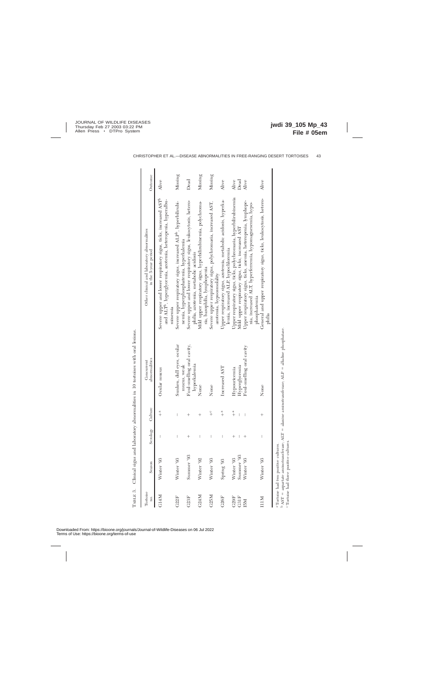| Tortoise<br>no. | Season                              | Serology                       | Culture       | abnormalities<br>Concurrent                                                                                                                  | Other clinical and laboratory abnormalities<br>in the 5-year period                                                                                     | Outcome |
|-----------------|-------------------------------------|--------------------------------|---------------|----------------------------------------------------------------------------------------------------------------------------------------------|---------------------------------------------------------------------------------------------------------------------------------------------------------|---------|
| G14M            | Winter '93                          | $\mid$                         | $\frac{a}{+}$ | Ocular mucus                                                                                                                                 | Severe upper and lower respiratory signs, ticks, increased AST <sup>b</sup><br>and ALT <sup>to</sup> , hyperglycemia, azotemia, heteropenia, hyperalbu- | Alive   |
| C22F            | Winter '93                          | $\begin{array}{c} \end{array}$ | Ī             | Sunken, dull eyes, ocular                                                                                                                    | Severe upper respiratory signs, increased ALP <sup>b</sup> , hyperbilirubi-<br>minemia                                                                  | Missing |
| C23F            | Summer '93                          | $^{+}$                         |               | Foul-smelling oral cavity,<br>mucus, weak                                                                                                    | Severe upper and lower respiratory signs, leukocytosis, hetero-<br>nemia, hyperphosphatemia, hyperkalemia                                               | Dead    |
| G24M            | Winter '92                          | $\mid$                         | $^{+}$        | hyperkalemia<br>None                                                                                                                         | Mild upper respiratory signs, hyperbilirubinemia, polychroma-<br>philia, azotemia, metabolic acidosis                                                   | Missing |
| C25M            | Winter '93                          |                                | $\frac{c}{+}$ | None                                                                                                                                         | Severe upper respiratory signs, polychromasia, increased AST,<br>sia, basophilia, lymphopenia                                                           | Missing |
| C26F            | Spring '93                          | I                              | $\frac{a}{+}$ | Increased AST                                                                                                                                | Upper respiratory signs, azotemia, metabolic acidosis, hyperka-<br>azotemia, hypoosmolality                                                             | Alive   |
| C29F            | Winter '93                          | $^{+}$                         | $\frac{a}{+}$ | Hypouricemia                                                                                                                                 | Upper respiratory signs, ticks, polychromasia, hyperbilirubimemia<br>lemia, increased ALP, hypochloremia                                                | Alive   |
| G31F            | Summer '93                          | I                              | Ï             | Hyperglycemia                                                                                                                                | Mild upper respiratory signs, ticks, increased AST                                                                                                      | Dead    |
| INS             | Winter '93                          | $^+$                           |               | Foul-smelling oral cavity                                                                                                                    | Upper respiratory signs, ticks, anemia, heteropenia, lymphope-<br>nia, increased ALT, hyperferremia, hypomagnesemia, hypo-                              | Alive   |
| 11M             | Winter '93                          | $\begin{array}{c} \end{array}$ |               | None                                                                                                                                         | General and upper respiratory signs, ticks, leukocytosis, hetero-<br>phosphatemia<br>philia                                                             | Alive   |
|                 | Tortoise had two positive cultures. |                                |               | $\Lambda$ CT $=$ a contractional contract $\Lambda$ TT $=$ all contractions contracted contracts. $\Lambda$ TD $=$ all collections contracts |                                                                                                                                                         |         |

 $^{\rm b}$  AST = aspartate aminotransferase; ALT = alanine aminotransferase; ALP = alkaline phosphatase. C Tortoise had three positive cultures.

TABLE 3. Clinical signs and laboratory abnormalities in 10 tortoises with oral lesions. TABLE 3. Clinical signs and laboratory abnormalities in 10 tortoises with oral lesions.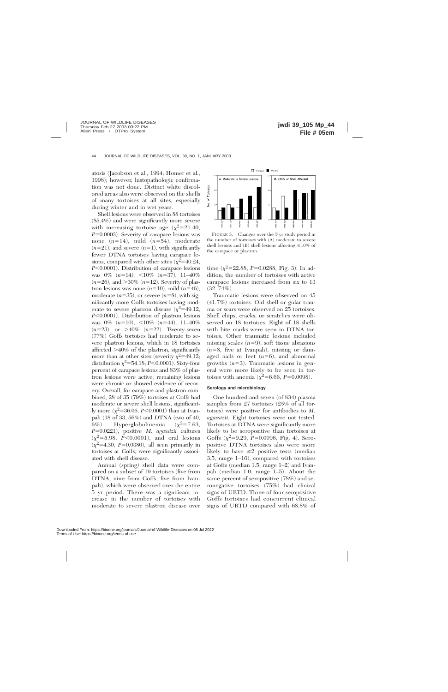atosis (Jacobson et al., 1994; Homer et al., 1998); however, histopathologic confirmation was not done. Distinct white discolored areas also were observed on the shells of many tortoises at all sites, especially during winter and in wet years.

Shell lesions were observed in 88 tortoises (85.4%) and were significantly more severe with increasing tortoise age  $(\chi^2=21.40,$  $P=0.0003$ ). Severity of carapace lesions was none  $(n=14)$ , mild  $(n=54)$ , moderate  $(n=21)$ , and severe  $(n=1)$ , with significantly fewer DTNA tortoises having carapace lesions, compared with other sites  $(\chi^2=40.24,$ *P*<0.0001). Distribution of carapace lesions was  $0\%$   $(n=14)$ ,  $\lt 10\%$   $(n=37)$ ,  $11-40\%$  $(n=26)$ , and  $>30\%$   $(n=12)$ . Severity of plastron lesions was none  $(n=10)$ , mild  $(n=46)$ , moderate  $(n=35)$ , or severe  $(n=8)$ , with significantly more Goffs tortoises having moderate to severe plastron disease  $(\chi^2=49.12,$ *P*<0.0001). Distribution of plastron lesions was  $0\%$   $(n=10)$ ,  $\lt 10\%$   $(n=44)$ ,  $11-40\%$  $(n=23)$ , or  $>40\%$   $(n=22)$ . Twenty-seven (77%) Goffs tortoises had moderate to severe plastron lesions, which in 18 tortoises affected  $>40\%$  of the plastron, significantly more than at other sites (severity  $\chi^2$ =49.12; distribution  $\chi^2$ =54.18; *P*<0.0001). Sixty-four percent of carapace lesions and 83% of plastron lesions were active; remaining lesions were chronic or showed evidence of recovery. Overall, for carapace and plastron combined, 28 of 35 (79%) tortoises at Goffs had moderate or severe shell lesions, significantly more  $(\chi^2=36.06, P<0.0001)$  than at Ivanpah (18 of 33, 56%) and DTNA (two of 40, 6%). Hyperglobulinemia  $(\chi^2=7.63,$ *P*50.0221), positive *M. agassizii* cultures  $(\chi^2 = 5.98, P < 0.0001)$ , and oral lesions  $(x^2=4.30, P=0.0380)$ , all seen primarily in tortoises at Goffs, were significantly associated with shell disease.

Annual (spring) shell data were compared on a subset of 19 tortoises (five from DTNA, nine from Goffs, five from Ivanpah), which were observed over the entire 5 yr period. There was a significant increase in the number of tortoises with moderate to severe plastron disease over



FIGURE 3. Changes over the 5 yr study period in the number of tortoises with (A) moderate to severe shell lesions and (B) shell lesions affecting  $\geq 10\%$  of the carapace or plastron.

time  $(\chi^2=22.88, P=0.0288, Fig. 3)$ . In addition, the number of tortoises with active carapace lesions increased from six to 13  $(32–74\%).$ 

Traumatic lesions were observed on 45 (41.7%) tortoises. Old shell or gular trauma or scars were observed on 25 tortoises. Shell chips, cracks, or scratches were observed on 18 tortoises. Eight of 18 shells with bite marks were seen in DTNA tortoises. Other traumatic lesions included missing scales  $(n=9)$ , soft tissue abrasions  $(n=8, \text{ five at Ivanpah})$ , missing or damaged nails or feet  $(n=6)$ , and abnormal growths  $(n=3)$ . Traumatic lesions in general were more likely to be seen in tortoises with anemia  $(\chi^2=6.66, P=0.0098)$ .

#### **Serology and microbiology**

One hundred and seven (of 834) plasma samples from 27 tortoises (25% of all tortoises) were positive for antibodies to *M. agassizii.* Eight tortoises were not tested. Tortoises at DTNA were significantly more likely to be seropositive than tortoises at Goffs  $(\chi^2=9.29, P=0.0096, Fig. 4)$ . Seropositive DTNA tortoises also were more likely to have  $\geq 2$  positive tests (median 3.5, range 1–16), compared with tortoises at Goffs (median 1.5, range 1–2) and Ivanpah (median 1.0, range 1–5). About the same percent of seropositive (78%) and seronegative tortoises (75%) had clinical signs of URTD. Three of four seropositive Goffs tortoises had concurrent clinical signs of URTD compared with 68.8% of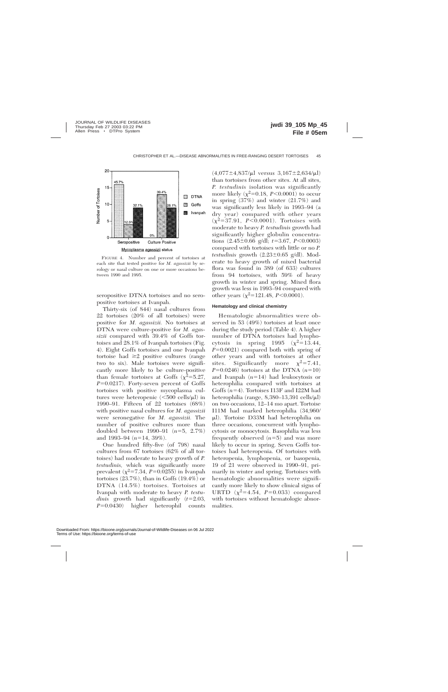

FIGURE 4. Number and percent of tortoises at each site that tested positive for *M. agassizii* by serology or nasal culture on one or more occasions between 1990 and 1995.

seropositive DTNA tortoises and no seropositive tortoises at Ivanpah.

Thirty-six (of 844) nasal cultures from 22 tortoises (20% of all tortoises) were positive for *M. agassizii.* No tortoises at DTNA were culture-positive for *M. agassizii* compared with 39.4% of Goffs tortoises and 28.1% of Ivanpah tortoises (Fig. 4). Eight Goffs tortoises and one Ivanpah tortoise had  $\geq 2$  positive cultures (range two to six). Male tortoises were significantly more likely to be culture-positive than female tortoises at Goffs  $(\chi^2=5.27,$  $P=0.0217$ ). Forty-seven percent of Goffs tortoises with positive mycoplasma cultures were heteropenic  $\langle$  <500 cells/ $\mu$ l) in 1990–91. Fifteen of 22 tortoises (68%) with positive nasal cultures for *M. agassizii* were seronegative for *M. agassizii.* The number of positive cultures more than doubled between  $1990-91$   $(n=5, 2.7\%)$ and 1993–94  $(n=14, 39\%)$ .

One hundred fifty-five (of 798) nasal cultures from 67 tortoises (62% of all tortoises) had moderate to heavy growth of *P. testudinis,* which was significantly more prevalent  $(\chi^2=7.34, P=0.0255)$  in Ivanpah tortoises (23.7%), than in Goffs (19.4%) or DTNA (14.5%) tortoises. Tortoises at Ivanpah with moderate to heavy *P. testudinis* growth had significantly  $(t=2.03,$ *P*=0.0430) higher heterophil counts

 $(4.077 \pm 4.837/\mu l$  versus  $3.167 \pm 2.634/\mu l)$ than tortoises from other sites. At all sites, *P. testudinis* isolation was significantly more likely  $(\chi^2=0.18, P<0.0001)$  to occur in spring (37%) and winter (21.7%) and was significantly less likely in 1993–94 (a dry year) compared with other years  $(\chi^2=37.91, P<0.0001)$ . Tortoises with moderate to heavy *P. testudinis* growth had significantly higher globulin concentrations  $(2.45\pm0.66 \text{ g/d}$ ;  $t=3.67, P<0.0003)$ compared with tortoises with little or no *P. testudinis* growth  $(2.23 \pm 0.65 \text{ g/dl})$ . Moderate to heavy growth of mixed bacterial flora was found in 389 (of 633) cultures from 94 tortoises, with 59% of heavy growth in winter and spring. Mixed flora growth was less in 1993–94 compared with other years  $(\chi^2=121.48, P<0.0001)$ .

#### **Hematology and clinical chemistry**

Hematologic abnormalities were observed in 53 (49%) tortoises at least once during the study period (Table 4). A higher number of DTNA tortoises had lymphocytosis in spring 1995  $(\chi^2=13.44,$  $P=0.0021$ ) compared both with spring of other years and with tortoises at other sites. Significantly more  $\chi^2$ =7.41,  $P=0.0246$ ) tortoises at the DTNA  $(n=10)$ and Ivanpah  $(n=14)$  had leukocytosis or heterophilia compared with tortoises at Goffs  $(n=4)$ . Tortoises I13F and I22M had heterophilia (range, 8,380-13,391 cells/ $\mu$ l) on two occasions, 12–14 mo apart. Tortoise I11M had marked heterophilia (34,960/ ml). Tortoise D33M had heterophilia on three occasions, concurrent with lymphocytosis or monocytosis. Basophilia was less frequently observed  $(n=5)$  and was more likely to occur in spring. Seven Goffs tortoises had heteropenia. Of tortoises with heteropenia, lymphopenia, or basopenia, 19 of 21 were observed in 1990–91, primarily in winter and spring. Tortoises with hematologic abnormalities were significantly more likely to show clinical signs of URTD  $(\chi^2=4.54, P=0.033)$  compared with tortoises without hematologic abnormalities.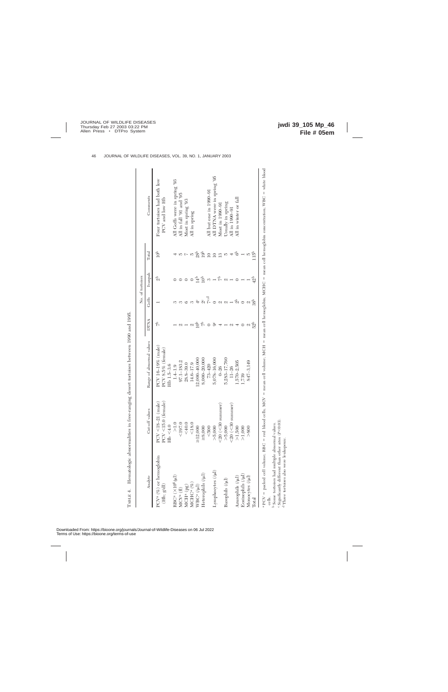|                                               |                            |                          |             |                    | No. of tortoises |                 |                                                                                                                                                                   |
|-----------------------------------------------|----------------------------|--------------------------|-------------|--------------------|------------------|-----------------|-------------------------------------------------------------------------------------------------------------------------------------------------------------------|
| Analyte                                       | Cut-off values             | Range of abnormal values | <b>DTNA</b> | Goffs              | Ivanpah          | Total           | Comments                                                                                                                                                          |
| PCV <sup>a</sup> (%) or hemoglobin            | $PCV < 18-21$ (male)       | PCV 16-19% (male)        | f           |                    | $\frac{1}{2}$    | 10 <sup>b</sup> | Four tortoises had both low                                                                                                                                       |
| $\left( \mathrm{Hb};\, \mathrm{g/dl} \right)$ | temale)<br>PCV < 15.0      | PCV 8.5% (female)        |             |                    |                  |                 | PCV and low Hb                                                                                                                                                    |
|                                               | $Hb \leq 4.0$              | Hb 1.5-3.6               |             |                    |                  |                 |                                                                                                                                                                   |
| RBC <sup>a</sup> (×10 <sup>6</sup> /µl)       | ${>}\,1.0$                 | $1.4 - 1.9$              |             |                    |                  |                 | All Goffs were in spring '93                                                                                                                                      |
| MCV <sup>a</sup> (fl)                         | ${}_{<197.0}$              | 97.1–183.2               | M           |                    |                  |                 | All in fall '91 and '95                                                                                                                                           |
| $MCHa$ (pg)                                   | &0.05                      | 28.8-39.0                |             |                    |                  |                 | Most in spring '93                                                                                                                                                |
| MCHC <sup>a</sup> (%)                         | ${}_{<18.0}$               | 14.6-17.9                |             |                    |                  |                 | All in spring                                                                                                                                                     |
| $NBC^a$ $(\mu$ ]                              | $\geq$ 12,000              | $12,000 - 40,000$        | ē           | $\frac{c}{4}$      | $\frac{1}{4}$    | 28 <sup>b</sup> |                                                                                                                                                                   |
| Ieterophils (/µl)                             | $\ge 8,000$                | $8,000 - 20,000$         |             | $\beta$            | Ġ                | 19 <sup>b</sup> |                                                                                                                                                                   |
|                                               | &500                       | $73 - 420$               |             | $7^{\rm c,d}$      |                  | $\supseteq$     | All but one in 1990–91                                                                                                                                            |
| (lul) sexperpencytes                          | > 5,000                    | 5,078-16,000             | ಹಿ          |                    |                  |                 | All DTNA were in spring '95                                                                                                                                       |
|                                               | summer)<br>$<$ 20 ( $<$ 30 | $0 - 26$                 |             | ς.                 | $\tau$           | $\mathbf{r}$    | Most in 1990-91                                                                                                                                                   |
| Basophils (/µl)                               | > 5,000                    | 5,283-17,760             |             | ΩJ                 |                  | J,              | Usually in spring                                                                                                                                                 |
|                                               | summer)<br>$<$ 20 $(<$ 30  | $11 - 26$                | C/          |                    |                  | 4               | All in 1990-91                                                                                                                                                    |
| Azurophils (/µl)                              | >1,500                     | $1,570 - 2,505$          |             | $\frac{1}{\alpha}$ |                  | ි               | All in winter or fall                                                                                                                                             |
| Rosinophils (/µl)                             | >1,000                     | 1,739                    |             |                    |                  |                 |                                                                                                                                                                   |
| Monocytes (/µl)                               | > 800                      | 847-3,149                | Z           |                    |                  |                 |                                                                                                                                                                   |
| $\rm Total$                                   |                            |                          | 52b         | 38 <sup>b</sup>    | 42 <sup>b</sup>  | È               |                                                                                                                                                                   |
|                                               |                            |                          |             |                    |                  |                 | PCV = packed cell volume; RBC = red blood cells; MCV = mean cell volume; MCH = mean cell hemoglobin; MCHC = mean cell hemoglobin concentration; WBC = white blood |

cells. ن ص

 Some tortoises had multiple abnormal values. Significantly different than other sites (*P*,0.03). d Three tortoises also were leukopenic.

TABLE 4. Hematologic abnormalities in free-ranging desert tortoises between 1990 and 1995. TABLE 4. Hematologic abnormalities in free-ranging desert tortoises between 1990 and 1995.

46 JOURNAL OF WILDLIFE DISEASES, VOL. 39, NO. 1, JANUARY 2003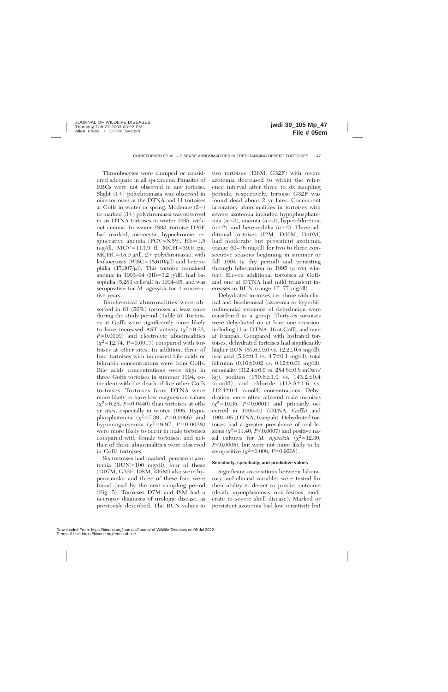Thrombocytes were clumped or considered adequate in all specimens. Parasites of RBCs were not observed in any tortoise. Slight  $(1+)$  polychromasia was observed in nine tortoises at the DTNA and 11 tortoises at Goffs in winter or spring. Moderate  $(2+)$ to marked  $(3+)$  polychromasia was observed in six DTNA tortoises in winter 1995, without anemia. In winter 1993, tortoise D26F had marked, microcytic, hypochromic, regenerative anemia (PCV= $8.5\%$ , Hb= $1.5$ mg/dl, MCV=113.9 fl, MCH=39.0 pg, MCHC=15.9 g/dl,  $2+$  polychromasia), with leukocytosis (WBC=18,610/ $\mu$ l) and heterophilia  $(17,307/\mu l)$ . This tortoise remained anemic in 1993–94 (Hb=3.2 g/dl), had basophilia  $(5,283 \text{ cells/}\mu\text{I})$  in 1994–95, and was seropositive for *M. agassizii* for 4 consecutive years.

Biochemical abnormalities were observed in 61 (56%) tortoises at least once during the study period (Table 5). Tortoises at Goffs were significantly more likely to have increased AST activity  $(\chi^2=9.23,$  $P=0.0099$ ) and electrolyte abnormalities  $(\chi^2=12.74, P=0.0017)$  compared with tortoises at other sites. In addition, three of four tortoises with increased bile acids or bilirubin concentrations were from Goffs. Bile acids concentrations were high in three Goffs tortoises in summer 1994, coincident with the death of five other Goffs tortoises. Tortoises from DTNA were more likely to have low magnesium values  $(\chi^2=6.25, P=0.0440)$  than tortoises at other sites, especially in winter 1995. Hypophosphatemia ( $\chi^2$ =7.39, *P*=0.0066) and hypomagnesemia  $(\chi^2=9.97, P=0.0028)$ were more likely to occur in male tortoises compared with female tortoises, and neither of these abnormalities were observed in Goffs tortoises.

Six tortoises had marked, persistent azotemia (BUN $>100$  mg/dl); four of these (D07M, G32F, I08M, I36M) also were hyperosmolar and three of these four were found dead by the next sampling period (Fig. 5). Tortoises D7M and I8M had a necropsy diagnosis of urologic disease, as previously described. The BUN values in two tortoises (I36M, G32F) with severe azotemia decreased to within the reference interval after three to six sampling periods, respectively; tortoise G32F was found dead about 2 yr later. Concurrent laboratory abnormalities in tortoises with severe azotemia included hypophosphatemia  $(n=3)$ , anemia  $(n=3)$ , hyperchloremia  $(n=2)$ , and heterophilia  $(n=2)$ . Three additional tortoises (I2M, D36M, D40M) had moderate but persistent azotemia (range 63–76 mg/dl) for two to three consecutive seasons beginning in summer or fall 1994 (a dry period) and persisting through hibernation in 1995 (a wet winter). Eleven additional tortoises at Goffs and one at DTNA had mild transient increases in BUN (range 17–77 mg/dl).

Dehydrated tortoises, i.e., those with clinical and biochemical (azotemia or hyperbilirubinemia) evidence of dehydration were considered as a group. Thirty-six tortoises were dehydrated on at least one occasion, including 11 at DTNA, 16 at Goffs, and nine at Ivanpah. Compared with hydrated tortoises, dehydrated tortoises had significantly higher BUN  $(57.6 \pm 9.0 \text{ vs. } 12.2 \pm 0.5 \text{ mg/dl})$ , uric acid  $(5.6\pm0.3 \text{ vs. } 4.7\pm0.1 \text{ mg/dl})$ , total bilirubin  $(0.16 \pm 0.02 \text{ vs. } 0.12 \pm 0.01 \text{ mg/dl})$ , osmolality  $(312.4 \pm 6.0 \text{ vs. } 284.8 \pm 0.8 \text{ mOsm/}$ kg), sodium  $(150.6 \pm 1.9 \text{ vs. } 143.2 \pm 0.4$ mmol/l), and chloride  $(118.8 \pm 1.6 \text{ vs.}$  $112.4\pm0.4$  mmol/l) concentrations. Dehydration more often affected male tortoises  $(\chi^2=10.35, P<0.0001)$  and primarily occurred in 1990–91 (DTNA, Goffs) and 1994–95 (DTNA, Ivanpah). Dehydrated tortoises had a greater prevalence of oral lesions  $(\chi^2=11.40, P<0.0007)$  and positive nasal cultures for *M. agassizii*  $(\chi^2=12.30,$ *P*<0.0005), but were not more likely to be seropositive  $(\chi^2=0.008, P=0.9268)$ .

# **Sensitivity, specificity, and predictive values**

Significant associations between laboratory and clinical variables were tested for their ability to detect or predict outcome (death, mycoplasmosis, oral lesions, moderate to severe shell disease). Marked or persistent azotemia had low sensitivity but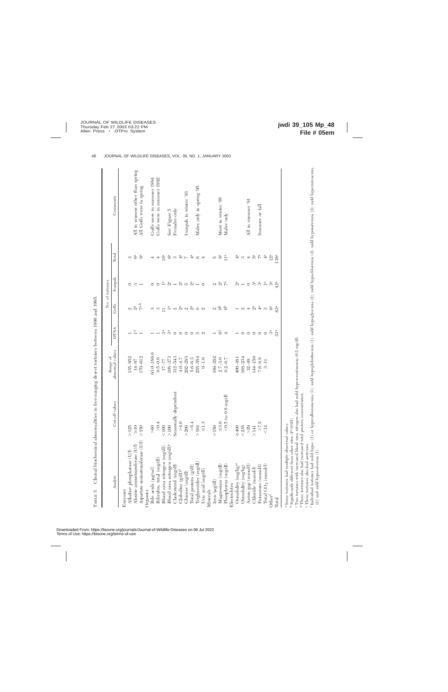|                                                                                                        |                      |                             |                                                                                                                           |                                                                                                                                      | No. of tortoises                                                                                                                                                                                                                                                                                                                                                                     |                                                                                                                                                   |                                  |
|--------------------------------------------------------------------------------------------------------|----------------------|-----------------------------|---------------------------------------------------------------------------------------------------------------------------|--------------------------------------------------------------------------------------------------------------------------------------|--------------------------------------------------------------------------------------------------------------------------------------------------------------------------------------------------------------------------------------------------------------------------------------------------------------------------------------------------------------------------------------|---------------------------------------------------------------------------------------------------------------------------------------------------|----------------------------------|
| Analyte                                                                                                | Cut-off values       | abnormal values<br>Range of | DTNA                                                                                                                      | Goffs                                                                                                                                | Ivanpah                                                                                                                                                                                                                                                                                                                                                                              | Total                                                                                                                                             | Comments                         |
| Enzymes                                                                                                |                      |                             |                                                                                                                           |                                                                                                                                      |                                                                                                                                                                                                                                                                                                                                                                                      |                                                                                                                                                   |                                  |
| Alkaline phosphatase (U/l)                                                                             | $>125$               | 135-852                     |                                                                                                                           |                                                                                                                                      | $\circ$                                                                                                                                                                                                                                                                                                                                                                              | S                                                                                                                                                 |                                  |
| Alanine aminotransferase (U/l)                                                                         | $\frac{1}{2}$        | $14 - 87$                   | $\stackrel{a}{-}$                                                                                                         | ด ลี เ <sup>ลื่</sup>                                                                                                                | S                                                                                                                                                                                                                                                                                                                                                                                    | G <sup>a</sup>                                                                                                                                    | All in seasons other than spring |
| Aspartate aminotransferase (U/l)                                                                       | $>150$               | 170-612                     |                                                                                                                           |                                                                                                                                      |                                                                                                                                                                                                                                                                                                                                                                                      |                                                                                                                                                   | All Goffs were in spring         |
| Organics                                                                                               |                      |                             |                                                                                                                           |                                                                                                                                      |                                                                                                                                                                                                                                                                                                                                                                                      |                                                                                                                                                   |                                  |
| Bile acids (µg/ml)                                                                                     | > 60                 | 63.0-186.6                  |                                                                                                                           |                                                                                                                                      | $\circ$                                                                                                                                                                                                                                                                                                                                                                              | 4                                                                                                                                                 | Goffs were in summer 1994        |
| Bilirubin, total (mg/dl)                                                                               | > 0.4                | $0.5 - 0.6$                 | $- -$                                                                                                                     | က က                                                                                                                                  | $\circ$                                                                                                                                                                                                                                                                                                                                                                              | 4                                                                                                                                                 | Goffs were in summer 1992        |
| Blood urea nitrogen (mg/dl)                                                                            | < 100                | $17 - 77$                   |                                                                                                                           | $\sqsupseteq\overset{\alpha}{\rightharpoonup}\lhd\overset{\alpha}{\rhd}\lhd\overset{\alpha}{\rhd}\lhd\overset{\alpha}{\rhd}\rhd\lhd$ |                                                                                                                                                                                                                                                                                                                                                                                      | 15 <sup>a</sup>                                                                                                                                   |                                  |
| Blood urea nitrogen (mg/dl) <sup>c</sup>                                                               | >100                 | 108-373                     |                                                                                                                           |                                                                                                                                      |                                                                                                                                                                                                                                                                                                                                                                                      |                                                                                                                                                   | See Figure 5                     |
| Cholesterol (mg/dl)                                                                                    | Seasonally dependent | $312 - 543$                 | $\stackrel{\scriptscriptstyle \pi}{\scriptscriptstyle \pi}\stackrel{\scriptscriptstyle \pi}{\scriptscriptstyle \pi}\circ$ |                                                                                                                                      | $\stackrel{\scriptscriptstyle \pi}{\rightharpoonup} \stackrel{\scriptscriptstyle \pi}{\scriptscriptstyle \pi} \rightarrow \stackrel{\scriptscriptstyle \pi}{\scriptscriptstyle \pi} \stackrel{\scriptscriptstyle \pi}{\scriptscriptstyle \pi} \stackrel{\scriptscriptstyle \pi}{\scriptscriptstyle \pi} \stackrel{\scriptscriptstyle \pi}{\scriptscriptstyle \pi} \rightarrow \circ$ | စီ က                                                                                                                                              | Females only                     |
| Globulins (g/dl) <sup>d</sup>                                                                          | $>4.0$               | $4.0 - 4.7$                 | $\circ$                                                                                                                   |                                                                                                                                      |                                                                                                                                                                                                                                                                                                                                                                                      | $4^{\rm a}$                                                                                                                                       |                                  |
| Glucose (mg/dl)                                                                                        | > 200                | $202 - 293$                 |                                                                                                                           |                                                                                                                                      |                                                                                                                                                                                                                                                                                                                                                                                      |                                                                                                                                                   | Ivanpah in winter '93            |
| Total protein $(g/dl)$                                                                                 | > 5.4                | $5.6 - 6.3$                 |                                                                                                                           |                                                                                                                                      |                                                                                                                                                                                                                                                                                                                                                                                      |                                                                                                                                                   |                                  |
| Iriglycerides (mg/dl)                                                                                  | >164                 | 255-554                     | $O$ $O$ $10$ $N$                                                                                                          |                                                                                                                                      |                                                                                                                                                                                                                                                                                                                                                                                      | $\begin{array}{ccc} & \uparrow & \uparrow & \uparrow & \uparrow & \uparrow \\ & \uparrow & \uparrow & \uparrow & \uparrow & \uparrow \end{array}$ | Males only in spring '95         |
| Uric acid (mg/dl)                                                                                      | $\leq 1.3$           | $0 - 1.0$                   |                                                                                                                           |                                                                                                                                      |                                                                                                                                                                                                                                                                                                                                                                                      |                                                                                                                                                   |                                  |
| Minerals                                                                                               |                      |                             |                                                                                                                           |                                                                                                                                      |                                                                                                                                                                                                                                                                                                                                                                                      |                                                                                                                                                   |                                  |
| $\mbox{Iron}~(\mu g\mbox{d}l)$                                                                         | >150                 | 189-292                     | $\overline{\phantom{a}}$                                                                                                  |                                                                                                                                      |                                                                                                                                                                                                                                                                                                                                                                                      | ນວ ຜ                                                                                                                                              |                                  |
| Magnesium (mg/dl)                                                                                      | $\leq 3.0$           | $2.7 - 3.0$                 | $6^{\rm a}$                                                                                                               | $\alpha$ $\uparrow$                                                                                                                  | $\alpha$ a $\alpha$                                                                                                                                                                                                                                                                                                                                                                  |                                                                                                                                                   | Most in winter '95               |
| Phosphorus (mg/dl)                                                                                     | $<$ 0.5 to 0.8 mg/dl | $0.2 - 0.7$                 | $\overline{\phantom{a}}$                                                                                                  | $\sigma$                                                                                                                             |                                                                                                                                                                                                                                                                                                                                                                                      | $\mathbb{I}^a$                                                                                                                                    | Males only                       |
| Electrolytes                                                                                           |                      |                             |                                                                                                                           |                                                                                                                                      |                                                                                                                                                                                                                                                                                                                                                                                      |                                                                                                                                                   |                                  |
| Osmolality (mg/kg)e                                                                                    | $\geq 400$           | 400-48                      |                                                                                                                           |                                                                                                                                      |                                                                                                                                                                                                                                                                                                                                                                                      | $\frac{a}{4}$                                                                                                                                     |                                  |
| Osmolality (mg/kg)                                                                                     | < 235                | 168-234                     | $\circ$                                                                                                                   |                                                                                                                                      | $\stackrel{\scriptscriptstyle \pi}{\scriptscriptstyle \sim}$ $\! \stackrel{\scriptscriptstyle \pi}{\scriptscriptstyle \sim}$                                                                                                                                                                                                                                                         | $\omega$ 4                                                                                                                                        |                                  |
| Anion gap (mmol/l)                                                                                     | >29                  | $32 - 49$                   | $\circ$                                                                                                                   |                                                                                                                                      |                                                                                                                                                                                                                                                                                                                                                                                      |                                                                                                                                                   | All in summer '91                |
| Chloride (mmol/l)                                                                                      | $\geq$ 141           | 144-150                     | $\circ$                                                                                                                   |                                                                                                                                      |                                                                                                                                                                                                                                                                                                                                                                                      |                                                                                                                                                   |                                  |
| Potassium (mmol/l)                                                                                     | >7.5                 | $7.6 - 8.9$                 | $\circ$ $\circ$                                                                                                           | $- \alpha + \alpha + \alpha + \alpha$                                                                                                | $\stackrel{a}{\sim}$ $\stackrel{a}{\sim}$ $\stackrel{a}{\sim}$ $\stackrel{a}{\sim}$                                                                                                                                                                                                                                                                                                  | $\stackrel{a}{\triangleright} \stackrel{a}{\triangleright}$                                                                                       | Summer or fall                   |
| Total $CO_2$ (mmol/l)                                                                                  | $\leq$ 14            | $3-11$                      |                                                                                                                           |                                                                                                                                      |                                                                                                                                                                                                                                                                                                                                                                                      | $\ddot{4}$                                                                                                                                        |                                  |
| $\ensuremath{\mathbf{Other}}\ensuremath{\mathbf{f}}$                                                   |                      |                             | $\mathfrak{Z}^{\rm a}$                                                                                                    |                                                                                                                                      |                                                                                                                                                                                                                                                                                                                                                                                      | $12^a$                                                                                                                                            |                                  |
| Total                                                                                                  |                      |                             | 33 <sup>a</sup>                                                                                                           | 63 <sup>a</sup>                                                                                                                      | 42 <sup>a</sup>                                                                                                                                                                                                                                                                                                                                                                      | 138 <sup>a</sup>                                                                                                                                  |                                  |
| e: Canto different from other sites (BAO)<br><sup>a</sup> Some tortoises had multiple abnormal values. |                      |                             |                                                                                                                           |                                                                                                                                      |                                                                                                                                                                                                                                                                                                                                                                                      |                                                                                                                                                   |                                  |

Clinical biochemical abnormalities in free-ranging desert tortoises between 1990 and 1995. TABLE 5. Clinical biochemical abnormalities in free-ranging desert tortoises between 1990 and 1995. TABLE  $5.$ 

<sup>b</sup> Significantly different from other sites (P<0.05).<br>"Two tortoises with increased blood urea nitrogen also had mild hypercreatinemia (0.5 mg/dl). <sup>b</sup> Significantly different from other sites (*P*<0.05).<br><sup>c</sup> Two tortoises with increased blood urea nitrogen also had mild hypercreatinemia (0.5 mg/dl).

<sup>d</sup> These tortoises also had increased total protein concentration. These tortoises also had increased total protein concentration.

e These tortoises also had azotemia. These tortoises also had azotemia.

f Individual tortoises had mild hypo- (1) or hyperalbuminemia (1); mild hypoglycemia (2); mild hypochloremia (2); mild hyponatremia (2); mild hyperuricaemia (2); and mild hypochloremia (1).<br>(2); and mild hypocalcemia (1). Individual tortoises had mild hypo- (1) or hyperalbuminemia (1); mild hypoglobulinemia (1); mild hypoglycemia (2); mild hypochloremia (2); mild hyponatremia (2); mild hyperuricaemia (2); and mild hypocalcemia (1).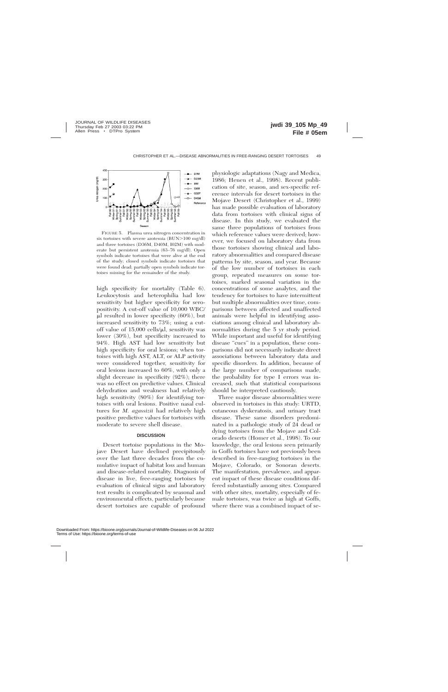

FIGURE 5. Plasma urea nitrogen concentration in six tortoises with severe azotemia  $(BUN>100 \text{ mg/dl})$ and three tortoises (D36M, D40M, I02M) with moderate but persistent azotemia (63–76 mg/dl). Open symbols indicate tortoises that were alive at the end of the study; closed symbols indicate tortoises that were found dead; partially open symbols indicate tortoises missing for the remainder of the study.

high specificity for mortality (Table 6). Leukocytosis and heterophilia had low sensitivity but higher specificity for seropositivity. A cut-off value of 10,000 WBC/  $\mu$ l resulted in lower specificity (60%), but increased sensitivity to 73%; using a cutoff value of  $15,000$  cells/ $\mu$ l, sensitivity was lower (30%), but specificity increased to 94%. High AST had low sensitivity but high specificity for oral lesions; when tortoises with high AST, ALT, or ALP activity were considered together, sensitivity for oral lesions increased to 60%, with only a slight decrease in specificity (92%); there was no effect on predictive values. Clinical dehydration and weakness had relatively high sensitivity (80%) for identifying tortoises with oral lesions. Positive nasal cultures for *M. agassizii* had relatively high positive predictive values for tortoises with moderate to severe shell disease.

# **DISCUSSION**

Desert tortoise populations in the Mojave Desert have declined precipitously over the last three decades from the cumulative impact of habitat loss and human and disease-related mortality. Diagnosis of disease in live, free-ranging tortoises by evaluation of clinical signs and laboratory test results is complicated by seasonal and environmental effects, particularly because desert tortoises are capable of profound

physiologic adaptations (Nagy and Medica, 1986; Henen et al., 1998). Recent publication of site, season, and sex-specific reference intervals for desert tortoises in the Mojave Desert (Christopher et al., 1999) has made possible evaluation of laboratory data from tortoises with clinical signs of disease. In this study, we evaluated the same three populations of tortoises from which reference values were derived; however, we focused on laboratory data from those tortoises showing clinical and laboratory abnormalities and compared disease patterns by site, season, and year. Because of the low number of tortoises in each group, repeated measures on some tortoises, marked seasonal variation in the concentrations of some analytes, and the tendency for tortoises to have intermittent but multiple abnormalities over time, comparisons between affected and unaffected animals were helpful in identifying associations among clinical and laboratory abnormalities during the 5 yr study period. While important and useful for identifying disease "cues" in a population, these comparisons did not necessarily indicate direct associations between laboratory data and specific disorders. In addition, because of the large number of comparisons made, the probability for type I errors was increased, such that statistical comparisons should be interpreted cautiously.

Three major disease abnormalities were observed in tortoises in this study: URTD, cutaneous dyskeratosis, and urinary tract disease. These same disorders predominated in a pathologic study of 24 dead or dying tortoises from the Mojave and Colorado deserts (Homer et al., 1998). To our knowledge, the oral lesions seen primarily in Goffs tortoises have not previously been described in free-ranging tortoises in the Mojave, Colorado, or Sonoran deserts. The manifestation, prevalence, and apparent impact of these disease conditions differed substantially among sites. Compared with other sites, mortality, especially of female tortoises, was twice as high at Goffs, where there was a combined impact of se-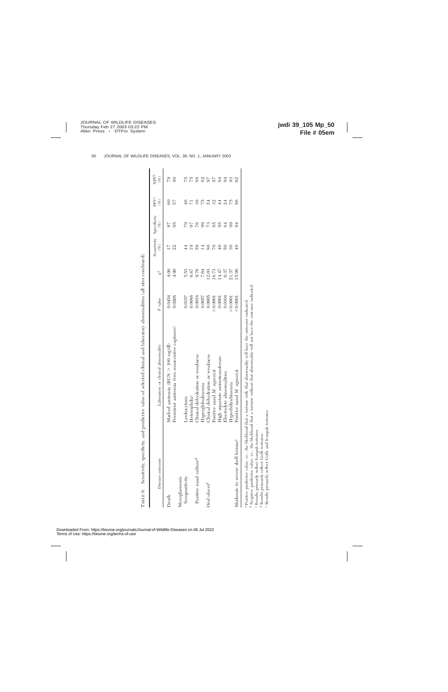| Disease outcome                                                                                                                                                             | Laboratory or clinical abnormality                                                                                                                                                                                                                      | P value  | $\chi^2$        | $(\%)$          | Sensitivity Specificity<br>(% | PPV <sup>a</sup><br>$(\%)$ | NPVb<br>$(\%)$ |
|-----------------------------------------------------------------------------------------------------------------------------------------------------------------------------|---------------------------------------------------------------------------------------------------------------------------------------------------------------------------------------------------------------------------------------------------------|----------|-----------------|-----------------|-------------------------------|----------------------------|----------------|
| Death                                                                                                                                                                       | Marked azotemia (BUN $> 100 \text{ mg/dl}$ )                                                                                                                                                                                                            | 0.0454   | 00 <sub>1</sub> |                 |                               | 3                          | 67             |
|                                                                                                                                                                             | Persistent azotemia (two consecutive captures)                                                                                                                                                                                                          | 0.0268   | $\frac{30}{4}$  | 22              | 95                            | 25                         | SO             |
| Mycoplasmosis                                                                                                                                                               |                                                                                                                                                                                                                                                         |          |                 |                 |                               |                            |                |
| Seropositivity                                                                                                                                                              | Leukocytosis                                                                                                                                                                                                                                            | 0.0187   | 533             |                 | 51                            | 46                         | 78             |
|                                                                                                                                                                             | $\rm Heterobilia^c$                                                                                                                                                                                                                                     | 0.0088   | 6.87            |                 |                               |                            |                |
| Positive nasal culture <sup>d</sup>                                                                                                                                         | Clinical dehydration or wealcness                                                                                                                                                                                                                       | 0.0018   | 0.76            | 59              | 97                            | 38                         | 88             |
|                                                                                                                                                                             | Hyperglobulinemia                                                                                                                                                                                                                                       | 0.0057   | 7.64            | $\overline{4}$  | 99                            | 5Z                         | 82             |
| Oral ulcers <sup>d</sup>                                                                                                                                                    | Clinical dehydration or wealcness                                                                                                                                                                                                                       | 0.0005   | 12.03           | 80              | 52                            | $\overline{\mathbb{Z}}$    |                |
|                                                                                                                                                                             | Positive nasal M. agassizii                                                                                                                                                                                                                             | < 0.0001 | 16.73           |                 | $85^{\circ}$                  | 32                         | 56             |
|                                                                                                                                                                             | High aspartate aminotransterase                                                                                                                                                                                                                         | 0.0001   | 14.47           |                 | 95                            | $\ddot{4}$                 |                |
|                                                                                                                                                                             | Electrolyte abnormalities                                                                                                                                                                                                                               | 0.0104   | 6.37            | $\overline{50}$ | 84                            | $\overline{\mathbb{Z}}$    | $\overline{5}$ |
|                                                                                                                                                                             | Hyperbilirubinemia                                                                                                                                                                                                                                      | < 0.0001 | 21.37           | 30              | 99                            | 5Z                         | 93             |
| Moderate to severe shell lesions <sup>e</sup>                                                                                                                               | Positive nasal M. agassizii                                                                                                                                                                                                                             | 50,000   | 15.98           |                 |                               | 86                         | 62             |
| e Pasulta suites alumnellus and Coffe and Incorporals teatraicas<br>Results primarily reflect Ivanpah tortoises.<br><sup>d</sup> Results primarily reflect Goffs tortoises. | Negative predictive value, i.e., the likelihood that a tortoise without that abnormality will not have the outcome indicated.<br>Positive predictive value, i.e., the likelihood that a tortoise with that abnormality will have the outcome indicated. |          |                 |                 |                               |                            |                |

Results primarily reflect Goffs and Ivanpah tortoises.

Downloaded From: https://bioone.org/journals/Journal-of-Wildlife-Diseases on 06 Jul 2022 Terms of Use: https://bioone.org/terms-of-use

TABLE 6.

TABLE 6. Sensitivity, specificity, and predictive value of selected clinical and laboratory abnormalities (all sites combined).

Sensitivity, specificity, and predictive value of selected clinical and laboratory abnormalities (all sites combined).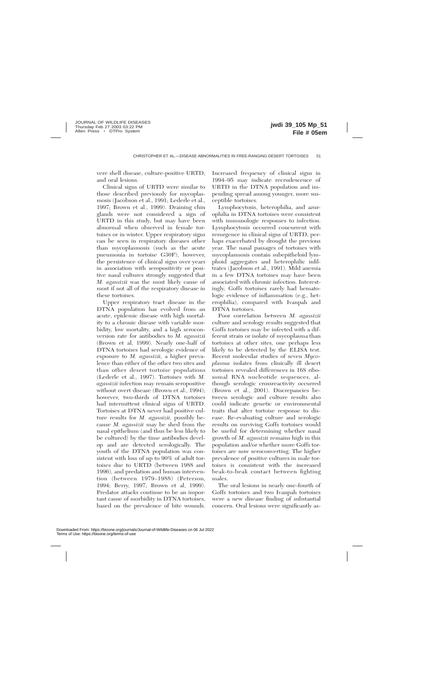vere shell disease, culture-positive URTD, and oral lesions.

Clinical signs of URTD were similar to those described previously for mycoplasmosis (Jacobson et al., 1991; Lederle et al., 1997; Brown et al., 1999). Draining chin glands were not considered a sign of URTD in this study, but may have been abnormal when observed in female tortoises or in winter. Upper respiratory signs can be seen in respiratory diseases other than mycoplasmosis (such as the acute pneumonia in tortoise G30F), however, the persistence of clinical signs over years in association with seropositivity or positive nasal cultures strongly suggested that *M. agassizii* was the most likely cause of most if not all of the respiratory disease in these tortoises.

Upper respiratory tract disease in the DTNA population has evolved from an acute, epidemic disease with high mortality to a chronic disease with variable morbidity, low mortality, and a high seroconversion rate for antibodies to *M. agassizii* (Brown et al, 1999). Nearly one-half of DTNA tortoises had serologic evidence of exposure to *M. agassizii,* a higher prevalence than either of the other two sites and than other desert tortoise populations (Lederle et al., 1997). Tortoises with *M. agassizii* infection may remain seropositive without overt disease (Brown et al., 1994); however, two-thirds of DTNA tortoises had intermittent clinical signs of URTD. Tortoises at DTNA never had positive culture results for *M. agassizii,* possibly because *M. agassizii* may be shed from the nasal epithelium (and thus be less likely to be cultured) by the time antibodies develop and are detected serologically. The youth of the DTNA population was consistent with loss of up to 90% of adult tortoises due to URTD (between 1988 and 1996), and predation and human intervention (between 1979–1988) (Peterson, 1994; Berry, 1997; Brown et al, 1999). Predator attacks continue to be an important cause of morbidity in DTNA tortoises, based on the prevalence of bite wounds.

Increased frequency of clinical signs in 1994–95 may indicate recrudescence of URTD in the DTNA population and impending spread among younger, more susceptible tortoises.

Lymphocytosis, heterophilia, and azurophilia in DTNA tortoises were consistent with immunologic responses to infection. Lymphocytosis occurred concurrent with resurgence in clinical signs of URTD, perhaps exacerbated by drought the previous year. The nasal passages of tortoises with mycoplasmosis contain subepitheloid lymphoid aggregates and heterophilic infiltrates (Jacobson et al., 1991). Mild anemia in a few DTNA tortoises may have been associated with chronic infection. Interestingly, Goffs tortoises rarely had hematologic evidence of inflammation (e.g., heterophilia), compared with Ivanpah and DTNA tortoises.

Poor correlation between *M. agassizii* culture and serology results suggested that Goffs tortoises may be infected with a different strain or isolate of mycoplasma than tortoises at other sites, one perhaps less likely to be detected by the ELISA test. Recent molecular studies of seven *Mycoplasma* isolates from clinically ill desert tortoises revealed differences in 16S ribosomal RNA nucleotide sequences, although serologic crossreactivity occurred (Brown et al., 2001). Discrepancies between serologic and culture results also could indicate genetic or environmental traits that alter tortoise response to disease. Re-evaluating culture and serologic results on surviving Goffs tortoises would be useful for determining whether nasal growth of *M. agassizii* remains high in this population and/or whether more Goffs tortoises are now seroconverting. The higher prevalence of positive cultures in male tortoises is consistent with the increased beak-to-beak contact between fighting males.

The oral lesions in nearly one-fourth of Goffs tortoises and two Ivanpah tortoises were a new disease finding of substantial concern. Oral lesions were significantly as-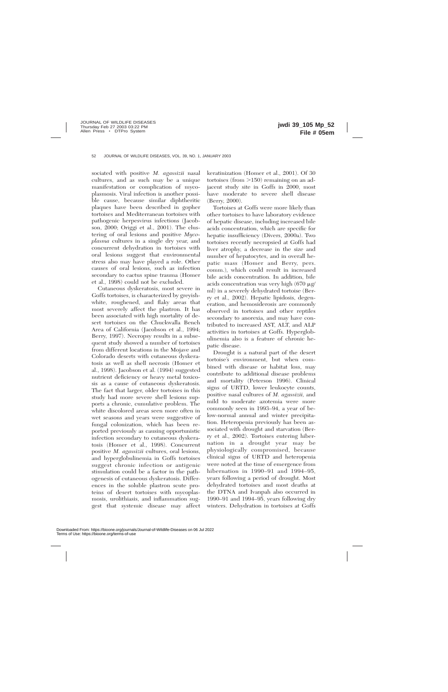sociated with positive *M. agassizii* nasal cultures, and as such may be a unique manifestation or complication of mycoplasmosis. Viral infection is another possible cause, because similar diphtheritic plaques have been described in gopher tortoises and Mediterranean tortoises with pathogenic herpesvirus infections (Jacobson, 2000; Origgi et al., 2001). The clustering of oral lesions and positive *Mycoplasma* cultures in a single dry year, and concurrent dehydration in tortoises with oral lesions suggest that environmental stress also may have played a role. Other causes of oral lesions, such as infection secondary to cactus spine trauma (Homer et al., 1998) could not be excluded.

Cutaneous dyskeratosis, most severe in Goffs tortoises, is characterized by greyishwhite, roughened, and flaky areas that most severely affect the plastron. It has been associated with high mortality of desert tortoises on the Chuckwalla Bench Area of California (Jacobson et al., 1994; Berry, 1997). Necropsy results in a subsequent study showed a number of tortoises from different locations in the Mojave and Colorado deserts with cutaneous dyskeratosis as well as shell necrosis (Homer et al., 1998). Jacobson et al. (1994) suggested nutrient deficiency or heavy metal toxicosis as a cause of cutaneous dyskeratosis. The fact that larger, older tortoises in this study had more severe shell lesions supports a chronic, cumulative problem. The white discolored areas seen more often in wet seasons and years were suggestive of fungal colonization, which has been reported previously as causing opportunistic infection secondary to cutaneous dyskeratosis (Homer et al., 1998). Concurrent positive *M. agassizii* cultures, oral lesions, and hyperglobulinemia in Goffs tortoises suggest chronic infection or antigenic stimulation could be a factor in the pathogenesis of cutaneous dyskeratosis. Differences in the soluble plastron scute proteins of desert tortoises with mycoplasmosis, urolithiasis, and inflammation suggest that systemic disease may affect

keratinization (Homer et al., 2001). Of 30 tortoises (from  $>150$ ) remaining on an adjacent study site in Goffs in 2000, most have moderate to severe shell disease (Berry, 2000).

Tortoises at Goffs were more likely than other tortoises to have laboratory evidence of hepatic disease, including increased bile acids concentration, which are specific for hepatic insufficiency (Divers, 2000a). Two tortoises recently necropsied at Goffs had liver atrophy, a decrease in the size and number of hepatocytes, and in overall hepatic mass (Homer and Berry, pers. comm.), which could result in increased bile acids concentration. In addition, bile acids concentration was very high  $(670 \mu g)$ ml) in a severely dehydrated tortoise (Berry et al., 2002). Hepatic lipidosis, degeneration, and hemosiderosis are commonly observed in tortoises and other reptiles secondary to anorexia, and may have contributed to increased AST, ALT, and ALP activities in tortoises at Goffs. Hyperglobulinemia also is a feature of chronic hepatic disease.

Drought is a natural part of the desert tortoise's environment, but when combined with disease or habitat loss, may contribute to additional disease problems and mortality (Peterson 1996). Clinical signs of URTD, lower leukocyte counts, positive nasal cultures of *M. agassizii,* and mild to moderate azotemia were more commonly seen in 1993–94, a year of below-normal annual and winter precipitation. Heteropenia previously has been associated with drought and starvation (Berry et al., 2002). Tortoises entering hibernation in a drought year may be physiologically compromised, because clinical signs of URTD and heteropenia were noted at the time of emergence from hibernation in 1990–91 and 1994–95, years following a period of drought. Most dehydrated tortoises and most deaths at the DTNA and Ivanpah also occurred in 1990–91 and 1994–95, years following dry winters. Dehydration in tortoises at Goffs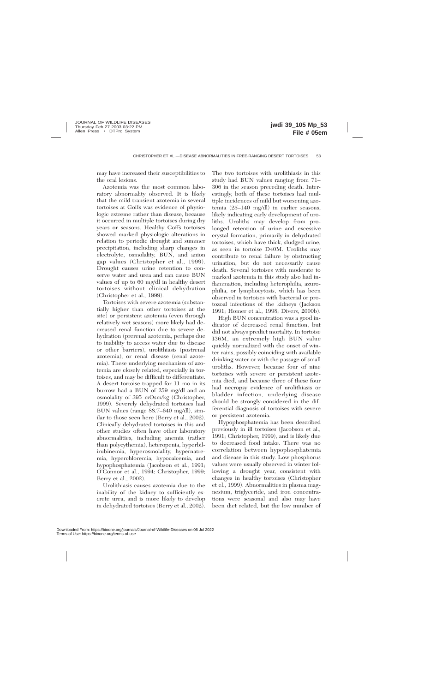may have increased their susceptibilities to the oral lesions.

Azotemia was the most common laboratory abnormality observed. It is likely that the mild transient azotemia in several tortoises at Goffs was evidence of physiologic extreme rather than disease, because it occurred in multiple tortoises during dry years or seasons. Healthy Goffs tortoises showed marked physiologic alterations in relation to periodic drought and summer precipitation, including sharp changes in electrolyte, osmolality, BUN, and anion gap values (Christopher et al., 1999). Drought causes urine retention to conserve water and urea and can cause BUN values of up to 60 mg/dl in healthy desert tortoises without clinical dehydration (Christopher et al., 1999).

Tortoises with severe azotemia (substantially higher than other tortoises at the site) or persistent azotemia (even through relatively wet seasons) more likely had decreased renal function due to severe dehydration (prerenal azotemia, perhaps due to inability to access water due to disease or other barriers), urolithiasis (postrenal azotemia), or renal disease (renal azotemia). These underlying mechanism of azotemia are closely related, especially in tortoises, and may be difficult to differentiate. A desert tortoise trapped for 11 mo in its burrow had a BUN of 259 mg/dl and an osmolality of 395 mOsm/kg (Christopher, 1999). Severely dehydrated tortoises had BUN values (range 88.7–640 mg/dl), similar to those seen here (Berry et al., 2002). Clinically dehydrated tortoises in this and other studies often have other laboratory abnormalities, including anemia (rather than polycythemia), heteropenia, hyperbilirubinemia, hyperosmolality, hypernatremia, hyperchloremia, hypocalcemia, and hypophosphatemia (Jacobson et al., 1991; O'Connor et al., 1994; Christopher, 1999; Berry et al., 2002).

Urolithiasis causes azotemia due to the inability of the kidney to sufficiently excrete urea, and is more likely to develop in dehydrated tortoises (Berry et al., 2002). The two tortoises with urolithiasis in this study had BUN values ranging from 71– 306 in the season preceding death. Interestingly, both of these tortoises had multiple incidences of mild but worsening azotemia (25–140 mg/dl) in earlier seasons, likely indicating early development of uroliths. Uroliths may develop from prolonged retention of urine and excessive crystal formation, primarily in dehydrated tortoises, which have thick, sludged urine, as seen in tortoise D40M. Uroliths may contribute to renal failure by obstructing urination, but do not necessarily cause death. Several tortoises with moderate to marked azotemia in this study also had inflammation, including heterophilia, azurophilia, or lymphocytosis, which has been observed in tortoises with bacterial or protozoal infections of the kidneys (Jackson 1991; Homer et al., 1998; Divers, 2000b).

High BUN concentration was a good indicator of decreased renal function, but did not always predict mortality. In tortoise I36M, an extremely high BUN value quickly normalized with the onset of winter rains, possibly coinciding with available drinking water or with the passage of small uroliths. However, because four of nine tortoises with severe or persistent azotemia died, and because three of these four had necropsy evidence of urolithiasis or bladder infection, underlying disease should be strongly considered in the differential diagnosis of tortoises with severe or persistent azotemia.

Hypophosphatemia has been described previously in ill tortoises (Jacobson et al., 1991; Christopher, 1999), and is likely due to decreased food intake. There was no correlation between hypophosphatemia and disease in this study. Low phosphorus values were usually observed in winter following a drought year, consistent with changes in healthy tortoises (Christopher et el., 1999). Abnormalities in plasma magnesium, triglyceride, and iron concentrations were seasonal and also may have been diet related, but the low number of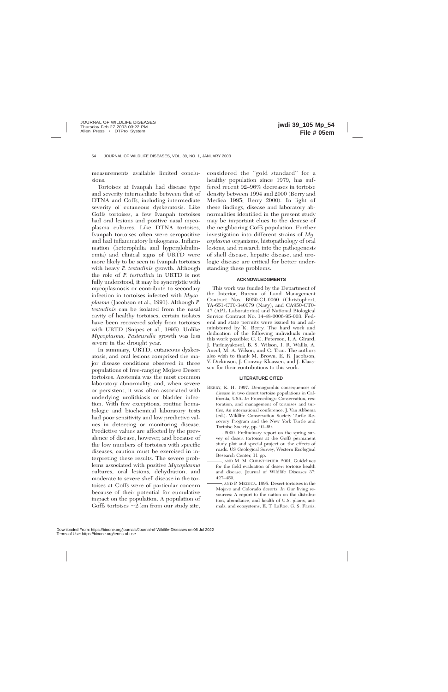measurements available limited conclusions.

Tortoises at Ivanpah had disease type and severity intermediate between that of DTNA and Goffs, including intermediate severity of cutaneous dyskeratosis. Like Goffs tortoises, a few Ivanpah tortoises had oral lesions and positive nasal mycoplasma cultures. Like DTNA tortoises, Ivanpah tortoises often were seropositive and had inflammatory leukograms. Inflammation (heterophilia and hyperglobulinemia) and clinical signs of URTD were more likely to be seen in Ivanpah tortoises with heavy *P. testudinis* growth. Although the role of *P. testudinis* in URTD is not fully understood, it may be synergistic with mycoplasmosis or contribute to secondary infection in tortoises infected with *Mycoplasma* (Jacobson et al., 1991). Although *P. testudinis* can be isolated from the nasal cavity of healthy tortoises, certain isolates have been recovered solely from tortoises with URTD (Snipes et al., 1995). Unlike *Mycoplasma, Pasteurella* growth was less severe in the drought year.

In summary, URTD, cutaneous dyskeratosis, and oral lesions comprised the major disease conditions observed in three populations of free-ranging Mojave Desert tortoises. Azotemia was the most common laboratory abnormality, and, when severe or persistent, it was often associated with underlying urolithiasis or bladder infection. With few exceptions, routine hematologic and biochemical laboratory tests had poor sensitivity and low predictive values in detecting or monitoring disease. Predictive values are affected by the prevalence of disease, however, and because of the low numbers of tortoises with specific diseases, caution must be exercised in interpreting these results. The severe problems associated with positive *Mycoplasma* cultures, oral lesions, dehydration, and moderate to severe shell disease in the tortoises at Goffs were of particular concern because of their potential for cumulative impact on the population. A population of Goffs tortoises  $\sim$ 2 km from our study site,

considered the "gold standard" for a healthy population since 1979, has suffered recent 92–96% decreases in tortoise density between 1994 and 2000 (Berry and Medica 1995; Berry 2000). In light of these findings, disease and laboratory abnormalities identified in the present study may be important clues to the demise of the neighboring Goffs population. Further investigation into different strains of *Mycoplasma* organisms, histopathology of oral lesions, and research into the pathogenesis of shell disease, hepatic disease, and urologic disease are critical for better understanding these problems.

# **ACKNOWLEDGMENTS**

This work was funded by the Department of the Interior, Bureau of Land Management Contract Nos. B950-C1-0060 (Christopher), YA-651-CT0-340079 (Nagy), and CA950-CT0- 47 (APL Laboratories) and National Biological Service Contract No. 14-48-0006-95-003. Federal and state permits were issued to and administered by K. Berry. The hard work and dedication of the following individuals made this work possible: C. C. Peterson, I. A. Girard, J. Parinayakosol, B. S. Wilson, I. R. Wallis, A. Ancel, M. A. Wilson, and C. Tran. The authors also wish to thank M. Brown, E. R. Jacobson, V. Dickinson, J. Conway-Klaassen, and J. Klaassen for their contributions to this work.

# **LITERATURE CITED**

- BERRY, K. H. 1997. Demographic consequences of disease in two desert tortoise populations in California, USA. *In* Proceedings: Conservation, restoration, and management of tortoises and turtles, An international conference, J. Van Abbema (ed.). Wildlife Conservation Society Turtle Recovery Program and the New York Turtle and Tortoise Society, pp. 91–99.
	- . 2000. Preliminary report on the spring survey of desert tortoises at the Goffs permanent study plot and special project on the effects of roads. US Geological Survey, Western Ecological Research Center, 11 pp.
	- , AND M. M. CHRISTOPHER. 2001. Guidelines for the field evaluation of desert tortoise health and disease. Journal of Wildlife Diseases 37: 427–450.
	- , AND P. MEDICA. 1995. Desert tortoises in the Mojave and Colorado deserts. *In* Our living resources: A report to the nation on the distribution, abundance, and health of U.S. plants, animals, and ecosystems, E. T. LaRoe, G. S. Farris,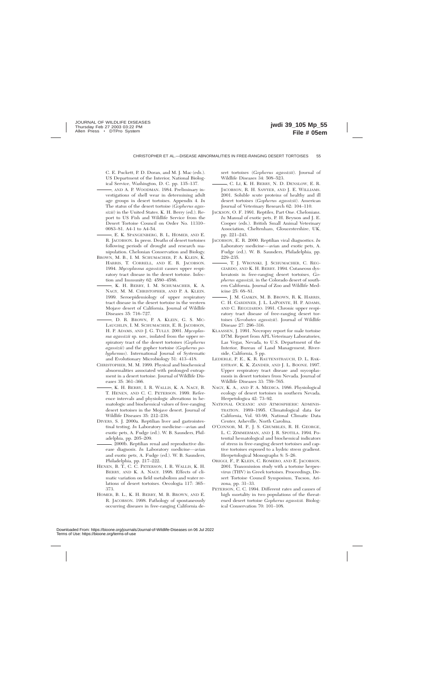C. E. Puckett, P. D. Doran, and M. J. Mac (eds.). US Department of the Interior, National Biological Service, Washington, D. C. pp. 135–137.

- , AND A. P. WOODMAN. 1984. Preliminary investigations of shell wear in determining adult age groups in desert tortoises. Appendix 4. *In* The status of the desert tortoise (*Gopherus agassizii*) in the United States. K. H. Berry (ed.). Report to US Fish and Wildlife Service from the Desert Tortoise Council on Order No. 11310– 0083–81. A4-1 to A4-54.
- , E. K. SPANGENBERG, B. L. HOMER, AND E. R. JACOBSON. In press. Deaths of desert tortoises following periods of drought and research manipulation. Chelonian Conservation and Biology.
- BROWN, M. B., I. M. SCHUMACHER, P. A. KLEIN, K. HARRIS, T. CORRELL, AND E. R. JACOBSON. 1994. *Mycoplasma agassizii* causes upper respiratory tract disease in the desert tortoise. Infection and Immunity 62: 4580–4586.
- , K. H. BERRY, I. M. SCHUMACHER, K. A. NAGY, M. M. CHRISTOPHER, AND P. A. KLEIN. 1999. Seroepidemiology of upper respiratory tract disease in the desert tortoise in the western Mojave desert of California. Journal of Wildlife Diseases 35: 716–727.
- , D. R. BROWN, P. A. KLEIN, G. S. MC-LAUGHLIN, I. M. SCHUMACHER, E. R. JACOBSON, H. P. ADAMS, AND J. G. TULLY. 2001. *Mycoplasma agassizii* sp. nov., isolated from the upper respiratory tract of the desert tortoises (*Gopherus agassizii*) and the gopher tortoise (*Gopherus polyphemus*). International Journal of Systematic and Evolutionary Microbiology 51: 413–418.
- CHRISTOPHER, M. M. 1999. Physical and biochemical abnormalities associated with prolonged entrapment in a desert tortoise. Journal of Wildlife Diseases 35: 361–366.
	- , K. H. BERRY, I. R. WALLIS, K. A. NAGY, B. T. HENEN, AND C. C. PETERSON. 1999. Reference intervals and physiologic alterations in hematologic and biochemical values of free-ranging desert tortoises in the Mojave desert. Journal of Wildlife Diseases 35: 212–238.
- DIVERS, S. J. 2000a. Reptilian liver and gastrointestinal testing. *In* Laboratory medicine—avian and exotic pets, A. Fudge (ed.). W. B. Saunders, Philadelphia, pp. 205–209.
- . 2000b. Reptilian renal and reproductive disease diagnosis. *In* Laboratory medicine—avian and exotic pets, A. Fudge (ed.). W. B. Saunders, Philadelphia, pp. 217–222.
- HENEN, B. T., C. C. PETERSON, I. R. WALLIS, K. H. BERRY, AND K. A. NAGY. 1998. Effects of climatic variation on field metabolism and water relations of desert tortoises. Oecologia 117: 365– 373.
- HOMER, B. L., K. H. BERRY, M. B. BROWN, AND E. R. JACOBSON. 1998. Pathology of spontaneously occurring diseases in free-ranging California de-

sert tortoises (*Gopherus agassizii*). Journal of Wildlife Diseases 34: 508–523.

- , C. LI, K. H. BERRY, N. D. DENSLOW, E. R. JACOBSON, R. H. SAWYER, AND J. E. WILLIAMS. 2001. Soluble scute proteins of healthy and ill desert tortoises (*Gopherus agassizii*). American Journal of Veterinary Research 62: 104–110.
- JACKSON, O. F. 1991. Reptiles, Part One. Chelonians. *In* Manual of exotic pets, P. H. Beynon and J. E. Cooper (eds.). British Small Animal Veterinary Association, Cheltenham, Gloucestershire, UK, pp. 221–243.
- JACOBSON, E. R. 2000. Reptilian viral diagnostics. *In* Laboratory medicine—avian and exotic pets, A. Fudge (ed.). W. B. Saunders, Philadelphia, pp. 229–235.
- , T. J. WRONSKI, J. SCHUMACHER, C. REG-GIARDO, AND K. H. BERRY. 1994. Cutaneous dyskeratosis in free-ranging desert tortoises, *Gopherus agassizii,* in the Colorado desert of southern California. Journal of Zoo and Wildlife Medicine 25: 68–81.
- , J. M. GASKIN, M. B. BROWN, R. K. HARRIS, C. H. GARDINER, J. L. LAPOINTE, H. P. ADAMS, AND C. REGGIARDO. 1991. Chronic upper respiratory tract disease of free-ranging desert tortoises (*Xerobates agassizii*). Journal of Wildlife Disease 27: 296–316.
- KLAASSEN, J. 1991. Necropsy report for male tortoise D7M. Report from APL Veterinary Laboratories, Las Vegas, Nevada, to U.S. Department of the Interior, Bureau of Land Management, Riverside, California, 5 pp.
- LEDERLE, P. E., K. R. RAUTENSTRAUCH, D. L. RAK-ESTRAW, K. K. ZANDER, AND J. L. BOONE. 1997. Upper respiratory tract disease and mycoplasmosis in desert tortoises from Nevada. Journal of Wildlife Diseases 33: 759–765.
- NAGY, K. A., AND P. A. MEDICA. 1986. Physiological ecology of desert tortoises in southern Nevada. Herpetologica 42: 73–92.
- NATIONAL OCEANIC AND ATMOSPHERIC ADMINIS-TRATION. 1989–1995. Climatological data for California, Vol. 93-99, National Climatic Data Center, Asheville, North Carolina.
- O'CONNOR, M. P., J. S. GRUMBLES, R. H. GEORGE, L. C. ZIMMERMAN, AND J. R. SPOTILA. 1994. Potential hematological and biochemical indicators of stress in free-ranging desert tortoises and captive tortoises exposed to a hydric stress gradient. Herpetological Monographs 8: 5–26.
- ORIGGI, F., P. KLEIN, C. ROMERO, AND E. JACOBSON. 2001. Transmission study with a tortoise herpesvirus (THV) in Greek tortoises. Proceedings, Desert Tortoise Council Symposium, Tucson, Arizona, pp. 31–33.
- PETERSON, C. C. 1994. Different rates and causes of high mortality in two populations of the threatened desert tortoise *Gopherus agassizii.* Biological Conservation 70: 101–108.